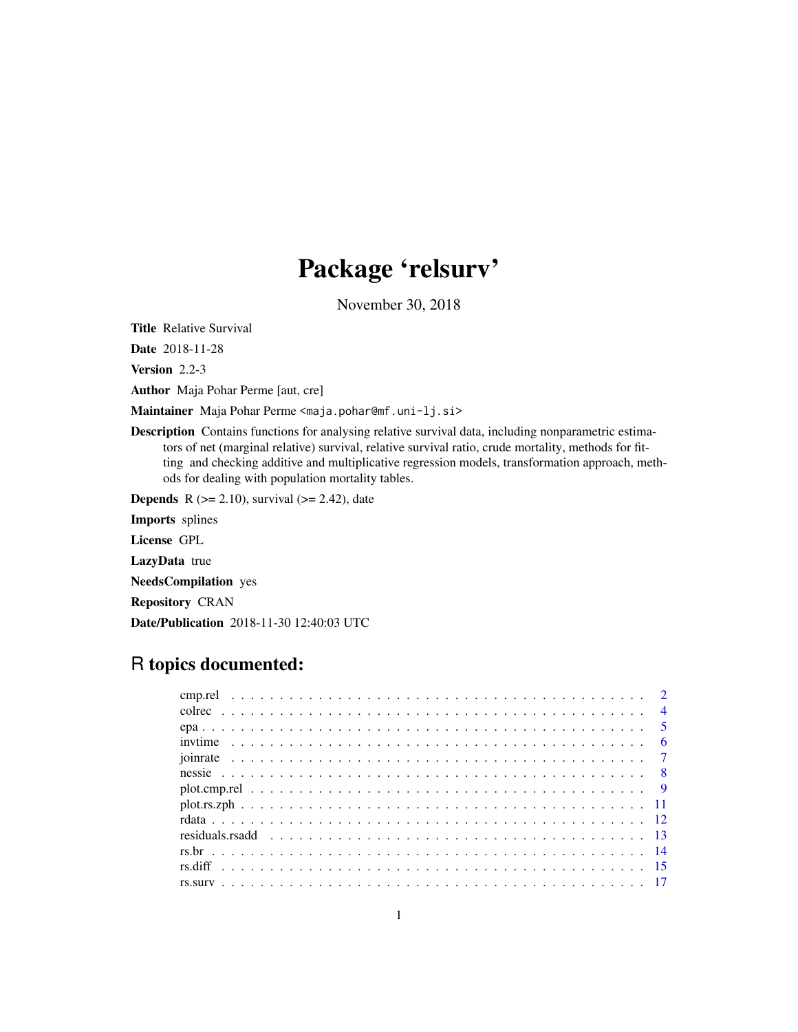# Package 'relsurv'

November 30, 2018

<span id="page-0-0"></span>Title Relative Survival

Date 2018-11-28

Version 2.2-3

Author Maja Pohar Perme [aut, cre]

Maintainer Maja Pohar Perme <maja.pohar@mf.uni-lj.si>

Description Contains functions for analysing relative survival data, including nonparametric estimators of net (marginal relative) survival, relative survival ratio, crude mortality, methods for fitting and checking additive and multiplicative regression models, transformation approach, methods for dealing with population mortality tables.

**Depends** R ( $>= 2.10$ ), survival ( $>= 2.42$ ), date

Imports splines

License GPL

LazyData true

NeedsCompilation yes

Repository CRAN

Date/Publication 2018-11-30 12:40:03 UTC

## R topics documented: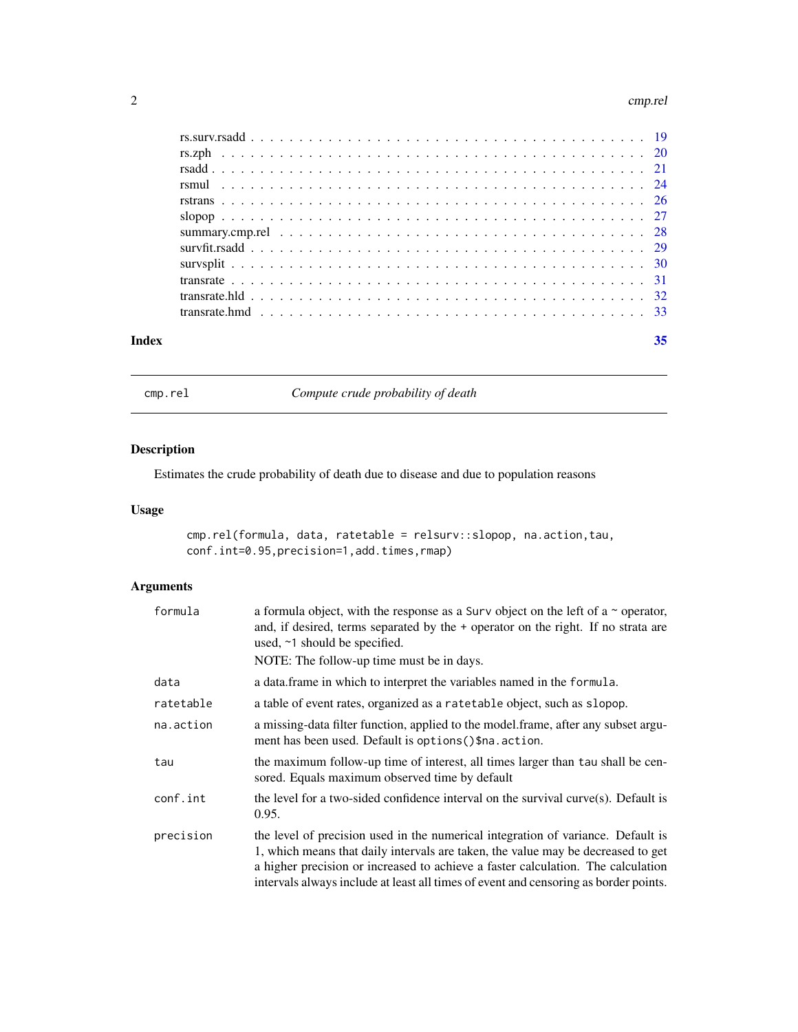#### <span id="page-1-0"></span>2 cmp.rel

| Index | 35 |
|-------|----|
|       |    |
|       |    |
|       |    |
|       |    |
|       |    |
|       |    |
|       |    |
|       |    |
|       |    |
|       |    |
|       |    |
|       |    |

cmp.rel *Compute crude probability of death*

### Description

Estimates the crude probability of death due to disease and due to population reasons

### Usage

```
cmp.rel(formula, data, ratetable = relsurv::slopop, na.action,tau,
conf.int=0.95,precision=1,add.times,rmap)
```

| formula   | a formula object, with the response as a Surv object on the left of a $\sim$ operator,<br>and, if desired, terms separated by the + operator on the right. If no strata are<br>used, ~1 should be specified.<br>NOTE: The follow-up time must be in days.                                                                                        |
|-----------|--------------------------------------------------------------------------------------------------------------------------------------------------------------------------------------------------------------------------------------------------------------------------------------------------------------------------------------------------|
| data      | a data.frame in which to interpret the variables named in the formula.                                                                                                                                                                                                                                                                           |
| ratetable | a table of event rates, organized as a ratetable object, such as slopop.                                                                                                                                                                                                                                                                         |
| na.action | a missing-data filter function, applied to the model.frame, after any subset argu-<br>ment has been used. Default is options () \$na. action.                                                                                                                                                                                                    |
| tau       | the maximum follow-up time of interest, all times larger than tau shall be cen-<br>sored. Equals maximum observed time by default                                                                                                                                                                                                                |
| conf.int  | the level for a two-sided confidence interval on the survival curve $(s)$ . Default is<br>0.95.                                                                                                                                                                                                                                                  |
| precision | the level of precision used in the numerical integration of variance. Default is<br>1, which means that daily intervals are taken, the value may be decreased to get<br>a higher precision or increased to achieve a faster calculation. The calculation<br>intervals always include at least all times of event and censoring as border points. |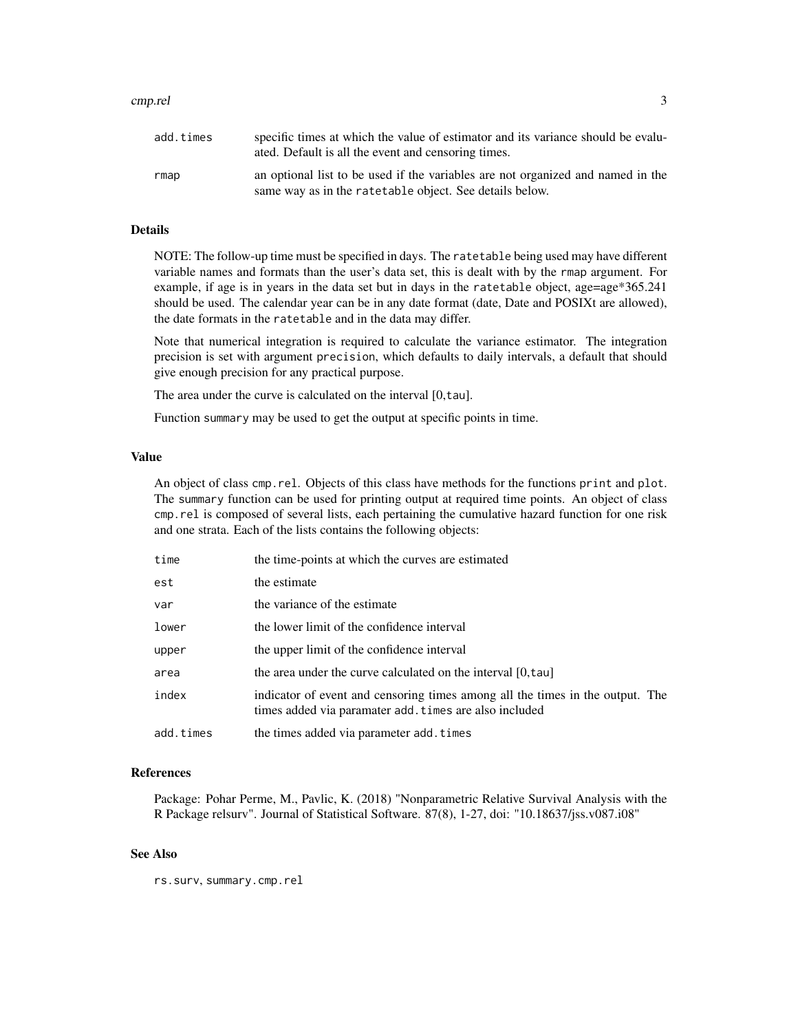#### cmp.rel 3

| add.times | specific times at which the value of estimator and its variance should be evalu-<br>ated. Default is all the event and censoring times.     |
|-----------|---------------------------------------------------------------------------------------------------------------------------------------------|
| rmap      | an optional list to be used if the variables are not organized and named in the<br>same way as in the rate table object. See details below. |

### Details

NOTE: The follow-up time must be specified in days. The ratetable being used may have different variable names and formats than the user's data set, this is dealt with by the rmap argument. For example, if age is in years in the data set but in days in the ratetable object, age=age $*365.241$ should be used. The calendar year can be in any date format (date, Date and POSIXt are allowed), the date formats in the ratetable and in the data may differ.

Note that numerical integration is required to calculate the variance estimator. The integration precision is set with argument precision, which defaults to daily intervals, a default that should give enough precision for any practical purpose.

The area under the curve is calculated on the interval [0,tau].

Function summary may be used to get the output at specific points in time.

#### Value

An object of class cmp.rel. Objects of this class have methods for the functions print and plot. The summary function can be used for printing output at required time points. An object of class cmp.rel is composed of several lists, each pertaining the cumulative hazard function for one risk and one strata. Each of the lists contains the following objects:

| time      | the time-points at which the curves are estimated                                                                                       |
|-----------|-----------------------------------------------------------------------------------------------------------------------------------------|
| est       | the estimate                                                                                                                            |
| var       | the variance of the estimate                                                                                                            |
| lower     | the lower limit of the confidence interval                                                                                              |
| upper     | the upper limit of the confidence interval                                                                                              |
| area      | the area under the curve calculated on the interval [0,tau]                                                                             |
| index     | indicator of event and censoring times among all the times in the output. The<br>times added via paramater add. times are also included |
| add.times | the times added via parameter add. times                                                                                                |

#### References

Package: Pohar Perme, M., Pavlic, K. (2018) "Nonparametric Relative Survival Analysis with the R Package relsurv". Journal of Statistical Software. 87(8), 1-27, doi: "10.18637/jss.v087.i08"

### See Also

rs.surv, summary.cmp.rel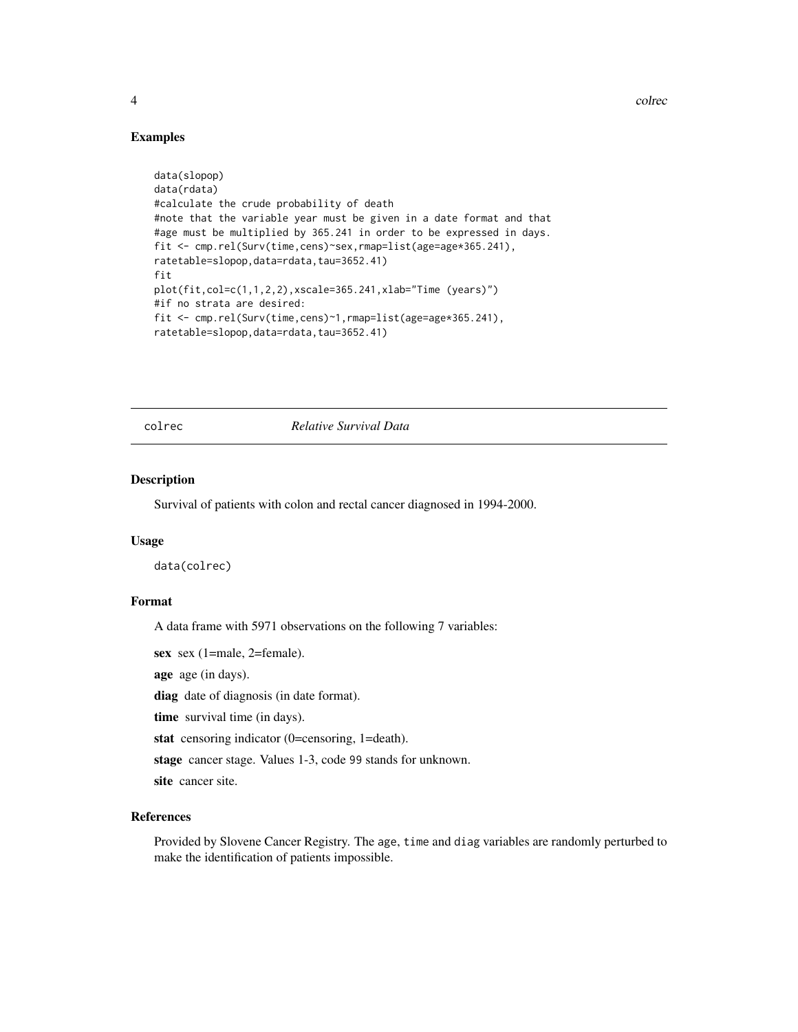4 colrection of the collection of the collection of the collection of the collection of the collection of the collection of the collection of the collection of the collection of the collection of the collection of the coll

### Examples

```
data(slopop)
data(rdata)
#calculate the crude probability of death
#note that the variable year must be given in a date format and that
#age must be multiplied by 365.241 in order to be expressed in days.
fit <- cmp.rel(Surv(time,cens)~sex,rmap=list(age=age*365.241),
ratetable=slopop,data=rdata,tau=3652.41)
fit
plot(fit,col=c(1,1,2,2),xscale=365.241,xlab="Time (years)")
#if no strata are desired:
fit <- cmp.rel(Surv(time,cens)~1,rmap=list(age=age*365.241),
ratetable=slopop,data=rdata,tau=3652.41)
```
colrec *Relative Survival Data*

### Description

Survival of patients with colon and rectal cancer diagnosed in 1994-2000.

#### Usage

data(colrec)

#### Format

A data frame with 5971 observations on the following 7 variables:

sex sex (1=male, 2=female).

age age (in days).

diag date of diagnosis (in date format).

time survival time (in days).

stat censoring indicator (0=censoring, 1=death).

stage cancer stage. Values 1-3, code 99 stands for unknown.

site cancer site.

### References

Provided by Slovene Cancer Registry. The age, time and diag variables are randomly perturbed to make the identification of patients impossible.

<span id="page-3-0"></span>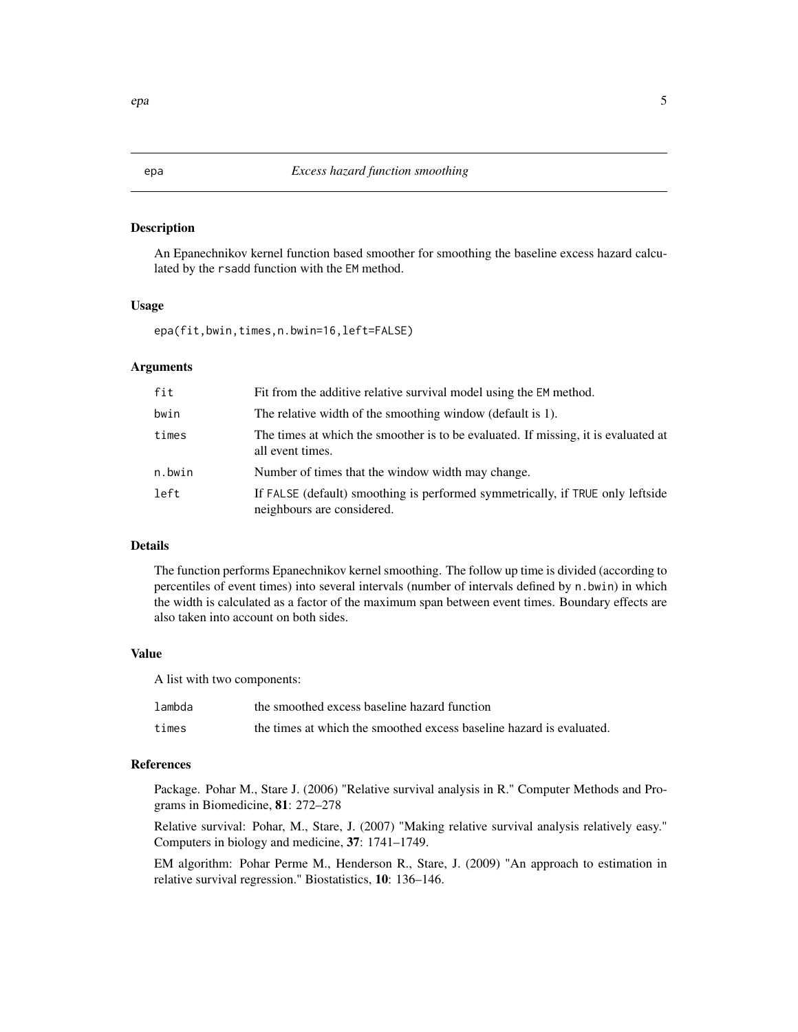<span id="page-4-0"></span>An Epanechnikov kernel function based smoother for smoothing the baseline excess hazard calculated by the rsadd function with the EM method.

#### Usage

epa(fit,bwin,times,n.bwin=16,left=FALSE)

#### Arguments

| fit    | Fit from the additive relative survival model using the EM method.                                           |
|--------|--------------------------------------------------------------------------------------------------------------|
| bwin   | The relative width of the smoothing window (default is 1).                                                   |
| times  | The times at which the smoother is to be evaluated. If missing, it is evaluated at<br>all event times.       |
| n.bwin | Number of times that the window width may change.                                                            |
| left   | If FALSE (default) smoothing is performed symmetrically, if TRUE only leftside<br>neighbours are considered. |

### Details

The function performs Epanechnikov kernel smoothing. The follow up time is divided (according to percentiles of event times) into several intervals (number of intervals defined by n.bwin) in which the width is calculated as a factor of the maximum span between event times. Boundary effects are also taken into account on both sides.

### Value

A list with two components:

| lambda | the smoothed excess baseline hazard function                         |
|--------|----------------------------------------------------------------------|
| times  | the times at which the smoothed excess baseline hazard is evaluated. |

### References

Package. Pohar M., Stare J. (2006) "Relative survival analysis in R." Computer Methods and Programs in Biomedicine, 81: 272–278

Relative survival: Pohar, M., Stare, J. (2007) "Making relative survival analysis relatively easy." Computers in biology and medicine, 37: 1741–1749.

EM algorithm: Pohar Perme M., Henderson R., Stare, J. (2009) "An approach to estimation in relative survival regression." Biostatistics, 10: 136–146.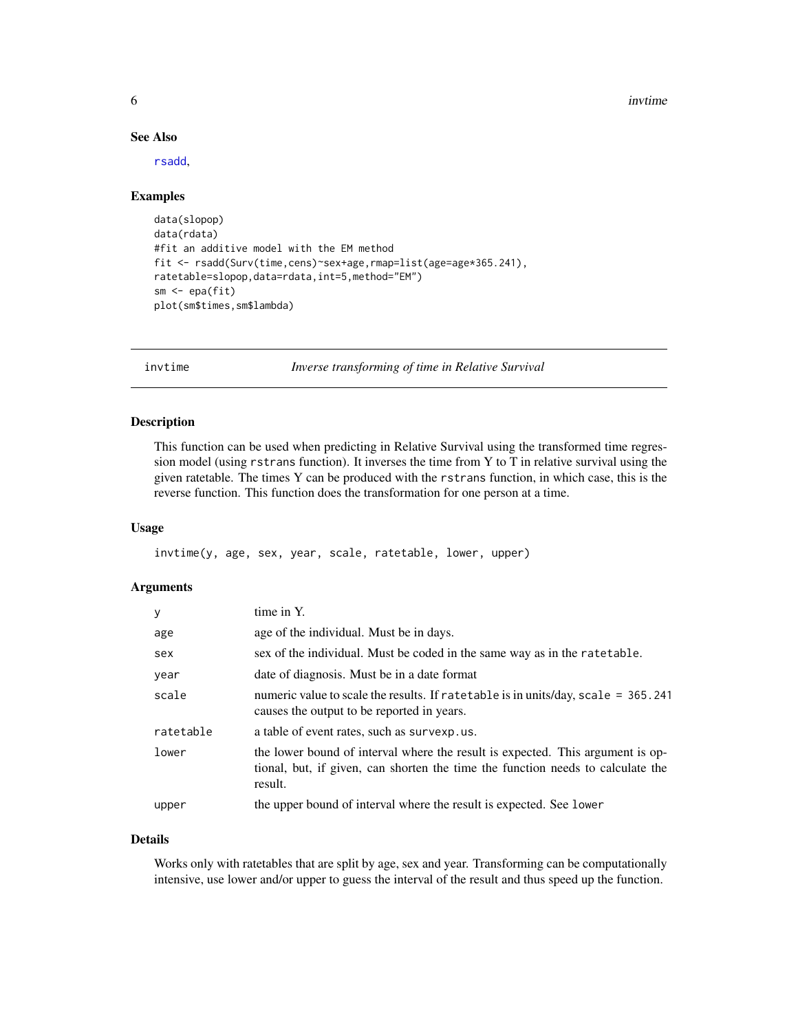<span id="page-5-0"></span>6 invtime to the contract of the contract of the contract of the contract of the contract of the contract of the contract of the contract of the contract of the contract of the contract of the contract of the contract of t

### See Also

[rsadd](#page-20-1),

#### Examples

```
data(slopop)
data(rdata)
#fit an additive model with the EM method
fit <- rsadd(Surv(time,cens)~sex+age,rmap=list(age=age*365.241),
ratetable=slopop,data=rdata,int=5,method="EM")
sm <- epa(fit)
plot(sm$times,sm$lambda)
```
invtime *Inverse transforming of time in Relative Survival*

### Description

This function can be used when predicting in Relative Survival using the transformed time regression model (using rstrans function). It inverses the time from Y to T in relative survival using the given ratetable. The times Y can be produced with the rstrans function, in which case, this is the reverse function. This function does the transformation for one person at a time.

#### Usage

invtime(y, age, sex, year, scale, ratetable, lower, upper)

### Arguments

| y         | time in Y.                                                                                                                                                                   |
|-----------|------------------------------------------------------------------------------------------------------------------------------------------------------------------------------|
| age       | age of the individual. Must be in days.                                                                                                                                      |
| sex       | sex of the individual. Must be coded in the same way as in the rate table.                                                                                                   |
| year      | date of diagnosis. Must be in a date format                                                                                                                                  |
| scale     | numeric value to scale the results. If ratetable is in units/day, scale = 365.241<br>causes the output to be reported in years.                                              |
| ratetable | a table of event rates, such as survexp.us.                                                                                                                                  |
| lower     | the lower bound of interval where the result is expected. This argument is op-<br>tional, but, if given, can shorten the time the function needs to calculate the<br>result. |
| upper     | the upper bound of interval where the result is expected. See lower                                                                                                          |

### Details

Works only with ratetables that are split by age, sex and year. Transforming can be computationally intensive, use lower and/or upper to guess the interval of the result and thus speed up the function.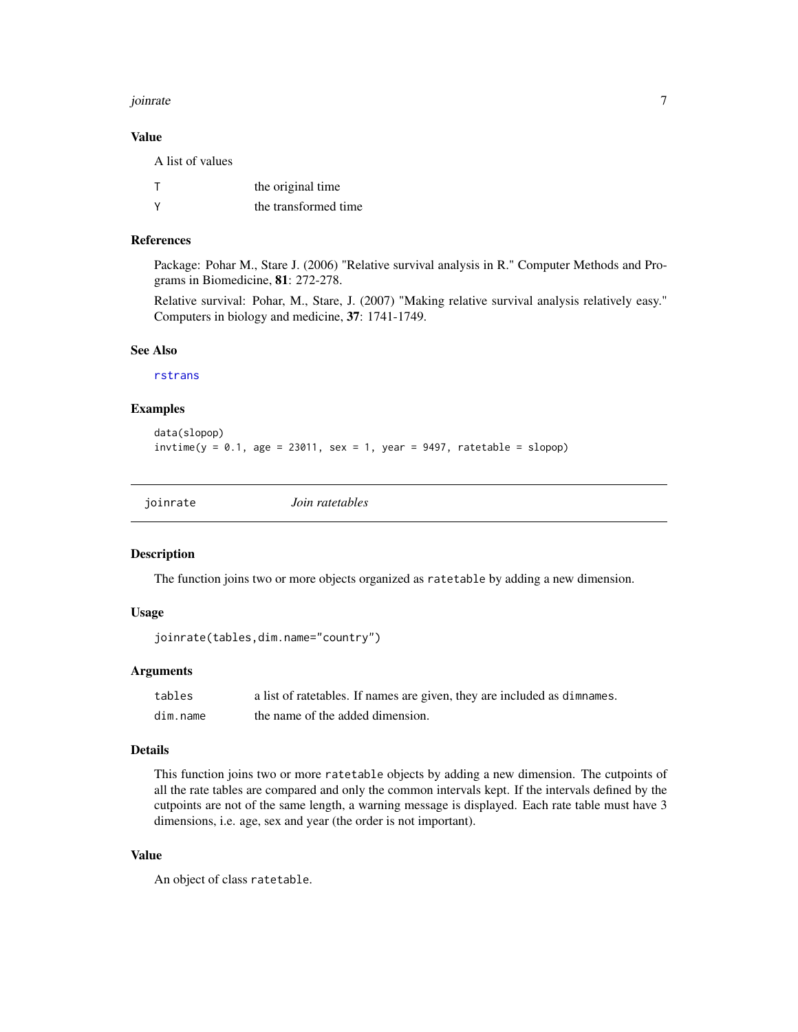#### <span id="page-6-0"></span>joinrate 7 and 7 and 7 and 7 and 7 and 7 and 7 and 7 and 7 and 7 and 7 and 7 and 7 and 7 and 7 and 7 and 7 and 7 and 7 and 7 and 7 and 7 and 7 and 7 and 7 and 7 and 7 and 7 and 7 and 7 and 7 and 7 and 7 and 7 and 7 and 7 a

### Value

A list of values

| the original time    |
|----------------------|
| the transformed time |

### References

Package: Pohar M., Stare J. (2006) "Relative survival analysis in R." Computer Methods and Programs in Biomedicine, 81: 272-278.

Relative survival: Pohar, M., Stare, J. (2007) "Making relative survival analysis relatively easy." Computers in biology and medicine, 37: 1741-1749.

### See Also

[rstrans](#page-25-1)

### Examples

```
data(slopop)
invtime(y = 0.1, age = 23011, sex = 1, year = 9497, ratetable = slope)
```
<span id="page-6-1"></span>joinrate *Join ratetables*

#### Description

The function joins two or more objects organized as ratetable by adding a new dimension.

### Usage

```
joinrate(tables,dim.name="country")
```
### Arguments

| tables   | a list of ratetables. If names are given, they are included as dimnames. |
|----------|--------------------------------------------------------------------------|
| dim.name | the name of the added dimension.                                         |

#### Details

This function joins two or more ratetable objects by adding a new dimension. The cutpoints of all the rate tables are compared and only the common intervals kept. If the intervals defined by the cutpoints are not of the same length, a warning message is displayed. Each rate table must have 3 dimensions, i.e. age, sex and year (the order is not important).

### Value

An object of class ratetable.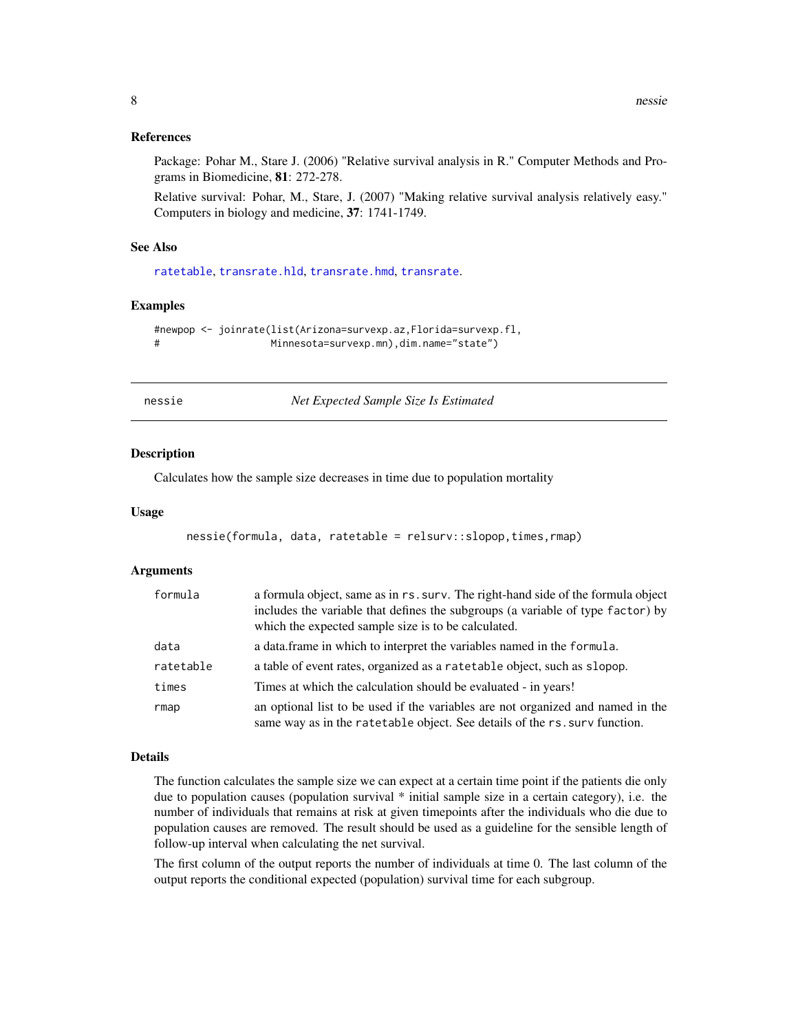#### <span id="page-7-0"></span>References

Package: Pohar M., Stare J. (2006) "Relative survival analysis in R." Computer Methods and Programs in Biomedicine, 81: 272-278.

Relative survival: Pohar, M., Stare, J. (2007) "Making relative survival analysis relatively easy." Computers in biology and medicine, 37: 1741-1749.

#### See Also

[ratetable](#page-0-0), [transrate.hld](#page-31-1), [transrate.hmd](#page-32-1), [transrate](#page-30-1).

#### Examples

```
#newpop <- joinrate(list(Arizona=survexp.az,Florida=survexp.fl,
# Minnesota=survexp.mn),dim.name="state")
```
nessie *Net Expected Sample Size Is Estimated*

#### Description

Calculates how the sample size decreases in time due to population mortality

#### Usage

```
nessie(formula, data, ratetable = relsurv::slopop,times,rmap)
```
#### Arguments

| formula   | a formula object, same as in rs. surv. The right-hand side of the formula object<br>includes the variable that defines the subgroups (a variable of type factor) by<br>which the expected sample size is to be calculated. |
|-----------|----------------------------------------------------------------------------------------------------------------------------------------------------------------------------------------------------------------------------|
| data      | a data frame in which to interpret the variables named in the formula.                                                                                                                                                     |
| ratetable | a table of event rates, organized as a ratetable object, such as slopop.                                                                                                                                                   |
| times     | Times at which the calculation should be evaluated - in years!                                                                                                                                                             |
| rmap      | an optional list to be used if the variables are not organized and named in the<br>same way as in the ratetable object. See details of the rs. surv function.                                                              |

### Details

The function calculates the sample size we can expect at a certain time point if the patients die only due to population causes (population survival \* initial sample size in a certain category), i.e. the number of individuals that remains at risk at given timepoints after the individuals who die due to population causes are removed. The result should be used as a guideline for the sensible length of follow-up interval when calculating the net survival.

The first column of the output reports the number of individuals at time 0. The last column of the output reports the conditional expected (population) survival time for each subgroup.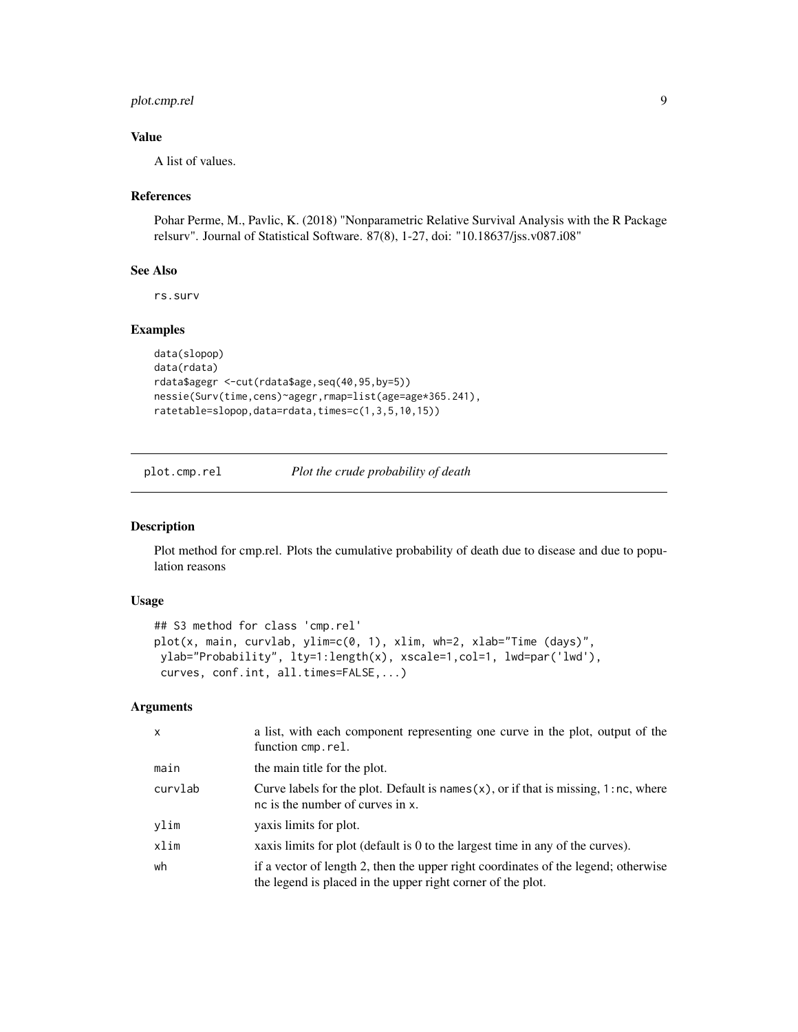### <span id="page-8-0"></span>plot.cmp.rel 9

### Value

A list of values.

### References

Pohar Perme, M., Pavlic, K. (2018) "Nonparametric Relative Survival Analysis with the R Package relsurv". Journal of Statistical Software. 87(8), 1-27, doi: "10.18637/jss.v087.i08"

### See Also

rs.surv

### Examples

```
data(slopop)
data(rdata)
rdata$agegr <-cut(rdata$age,seq(40,95,by=5))
nessie(Surv(time,cens)~agegr,rmap=list(age=age*365.241),
ratetable=slopop,data=rdata,times=c(1,3,5,10,15))
```
plot.cmp.rel *Plot the crude probability of death*

#### Description

Plot method for cmp.rel. Plots the cumulative probability of death due to disease and due to population reasons

### Usage

```
## S3 method for class 'cmp.rel'
plot(x, main, curvlab, ylim=c(0, 1), xlim, wh=2, xlab="Time (days)",
ylab="Probability", lty=1:length(x), xscale=1,col=1, lwd=par('lwd'),
curves, conf.int, all.times=FALSE,...)
```

| $\mathsf{x}$ | a list, with each component representing one curve in the plot, output of the<br>function cmp.rel.                                                |
|--------------|---------------------------------------------------------------------------------------------------------------------------------------------------|
| main         | the main title for the plot.                                                                                                                      |
| curvlab      | Curve labels for the plot. Default is names $(x)$ , or if that is missing, 1:nc, where<br>nc is the number of curves in x.                        |
| ylim         | vaxis limits for plot.                                                                                                                            |
| xlim         | xaxis limits for plot (default is 0 to the largest time in any of the curves).                                                                    |
| wh           | if a vector of length 2, then the upper right coordinates of the legend; otherwise<br>the legend is placed in the upper right corner of the plot. |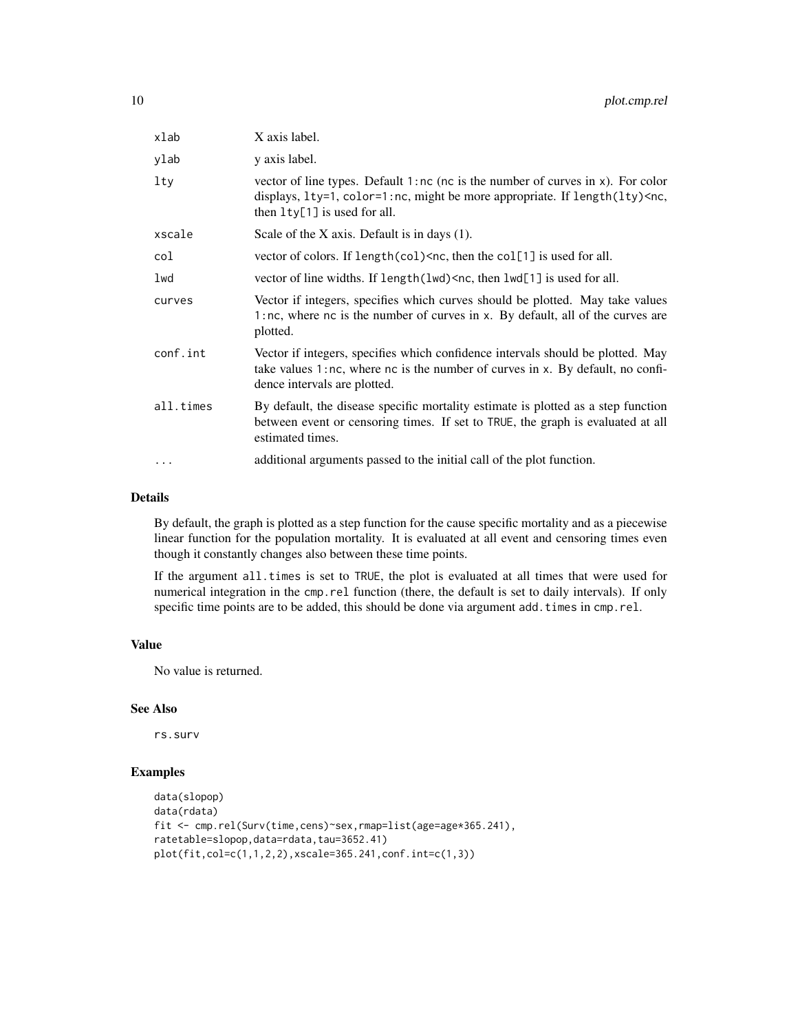| xlab      | X axis label.                                                                                                                                                                                                                |
|-----------|------------------------------------------------------------------------------------------------------------------------------------------------------------------------------------------------------------------------------|
| ylab      | y axis label.                                                                                                                                                                                                                |
| $1$ ty    | vector of line types. Default $1:nc$ ( $nc$ is the number of curves in $x$ ). For color<br>displays, 1ty=1, color=1:nc, might be more appropriate. If length(lty) <nc,<br>then <math>lty[1]</math> is used for all.</nc,<br> |
| xscale    | Scale of the X axis. Default is in days $(1)$ .                                                                                                                                                                              |
| col       | vector of colors. If $length(col)$ <nc, all.<="" col[1]="" for="" is="" td="" the="" then="" used=""></nc,>                                                                                                                  |
| lwd       | vector of line widths. If length (lwd) <nc, all.<="" for="" is="" lwd[1]="" td="" then="" used=""></nc,>                                                                                                                     |
| curves    | Vector if integers, specifies which curves should be plotted. May take values<br>1:nc, where nc is the number of curves in x. By default, all of the curves are<br>plotted.                                                  |
| conf.int  | Vector if integers, specifies which confidence intervals should be plotted. May<br>take values 1:nc, where nc is the number of curves in x. By default, no confi-<br>dence intervals are plotted.                            |
| all.times | By default, the disease specific mortality estimate is plotted as a step function<br>between event or censoring times. If set to TRUE, the graph is evaluated at all<br>estimated times.                                     |
| $\cdots$  | additional arguments passed to the initial call of the plot function.                                                                                                                                                        |

#### Details

By default, the graph is plotted as a step function for the cause specific mortality and as a piecewise linear function for the population mortality. It is evaluated at all event and censoring times even though it constantly changes also between these time points.

If the argument all.times is set to TRUE, the plot is evaluated at all times that were used for numerical integration in the cmp.rel function (there, the default is set to daily intervals). If only specific time points are to be added, this should be done via argument add.times in cmp.rel.

### Value

No value is returned.

### See Also

rs.surv

### Examples

```
data(slopop)
data(rdata)
fit <- cmp.rel(Surv(time,cens)~sex,rmap=list(age=age*365.241),
ratetable=slopop,data=rdata,tau=3652.41)
plot(fit,col=c(1,1,2,2),xscale=365.241,conf.int=c(1,3))
```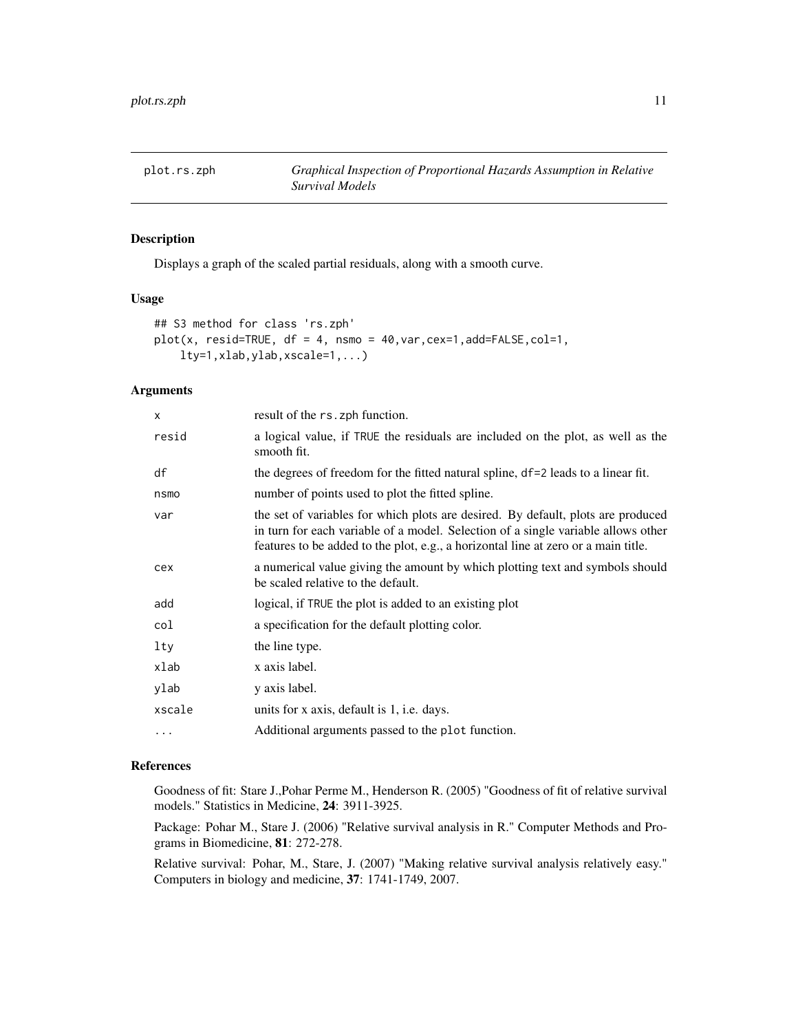<span id="page-10-0"></span>

Displays a graph of the scaled partial residuals, along with a smooth curve.

### Usage

```
## S3 method for class 'rs.zph'
plot(x, result = TRUE, df = 4, nsmo = 40, var, cex=1, add = FALSE, col=1,lty=1,xlab,ylab,xscale=1,...)
```
### Arguments

| X        | result of the rs. zph function.                                                                                                                                                                                                                             |
|----------|-------------------------------------------------------------------------------------------------------------------------------------------------------------------------------------------------------------------------------------------------------------|
| resid    | a logical value, if TRUE the residuals are included on the plot, as well as the<br>smooth fit.                                                                                                                                                              |
| df       | the degrees of freedom for the fitted natural spline, df=2 leads to a linear fit.                                                                                                                                                                           |
| nsmo     | number of points used to plot the fitted spline.                                                                                                                                                                                                            |
| var      | the set of variables for which plots are desired. By default, plots are produced<br>in turn for each variable of a model. Selection of a single variable allows other<br>features to be added to the plot, e.g., a horizontal line at zero or a main title. |
| cex      | a numerical value giving the amount by which plotting text and symbols should<br>be scaled relative to the default.                                                                                                                                         |
| add      | logical, if TRUE the plot is added to an existing plot                                                                                                                                                                                                      |
| col      | a specification for the default plotting color.                                                                                                                                                                                                             |
| lty      | the line type.                                                                                                                                                                                                                                              |
| xlab     | x axis label.                                                                                                                                                                                                                                               |
| ylab     | y axis label.                                                                                                                                                                                                                                               |
| xscale   | units for x axis, default is 1, i.e. days.                                                                                                                                                                                                                  |
| $\cdots$ | Additional arguments passed to the plot function.                                                                                                                                                                                                           |
|          |                                                                                                                                                                                                                                                             |

### References

Goodness of fit: Stare J.,Pohar Perme M., Henderson R. (2005) "Goodness of fit of relative survival models." Statistics in Medicine, 24: 3911-3925.

Package: Pohar M., Stare J. (2006) "Relative survival analysis in R." Computer Methods and Programs in Biomedicine, 81: 272-278.

Relative survival: Pohar, M., Stare, J. (2007) "Making relative survival analysis relatively easy." Computers in biology and medicine, 37: 1741-1749, 2007.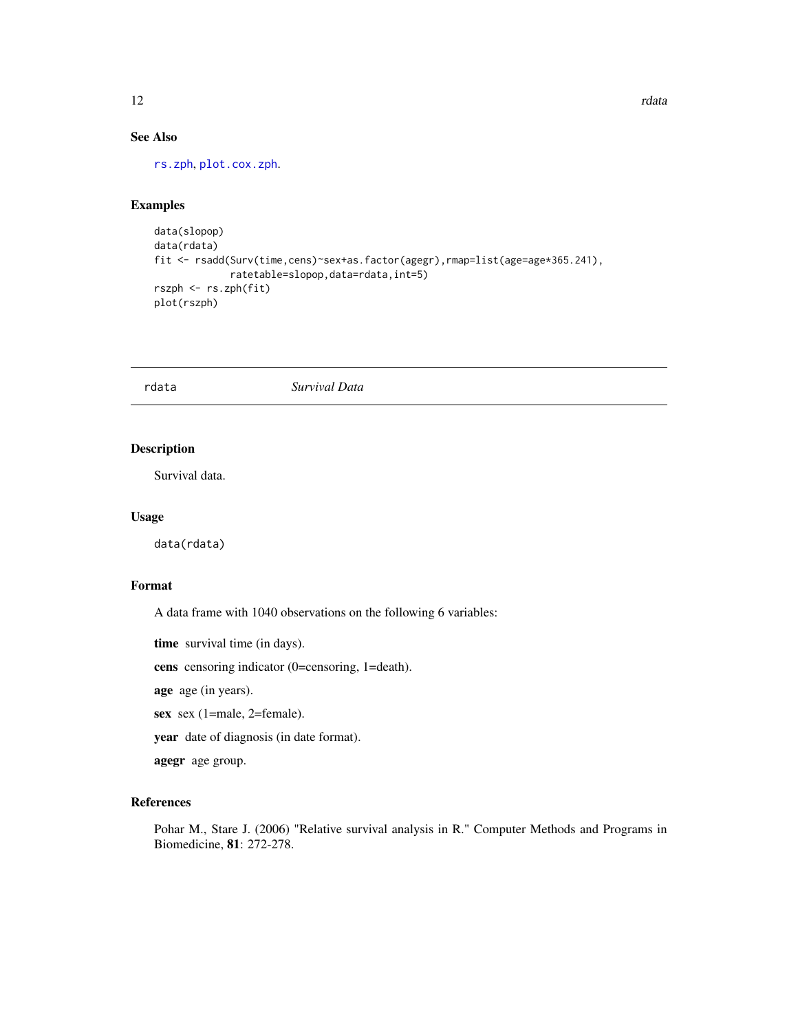### See Also

[rs.zph](#page-19-1), [plot.cox.zph](#page-0-0).

### Examples

```
data(slopop)
data(rdata)
fit <- rsadd(Surv(time,cens)~sex+as.factor(agegr),rmap=list(age=age*365.241),
             ratetable=slopop,data=rdata,int=5)
rszph <- rs.zph(fit)
plot(rszph)
```
rdata *Survival Data*

### Description

Survival data.

### Usage

data(rdata)

### Format

A data frame with 1040 observations on the following 6 variables:

time survival time (in days).

cens censoring indicator (0=censoring, 1=death).

age age (in years).

sex sex (1=male, 2=female).

year date of diagnosis (in date format).

agegr age group.

### References

Pohar M., Stare J. (2006) "Relative survival analysis in R." Computer Methods and Programs in Biomedicine, 81: 272-278.

<span id="page-11-0"></span>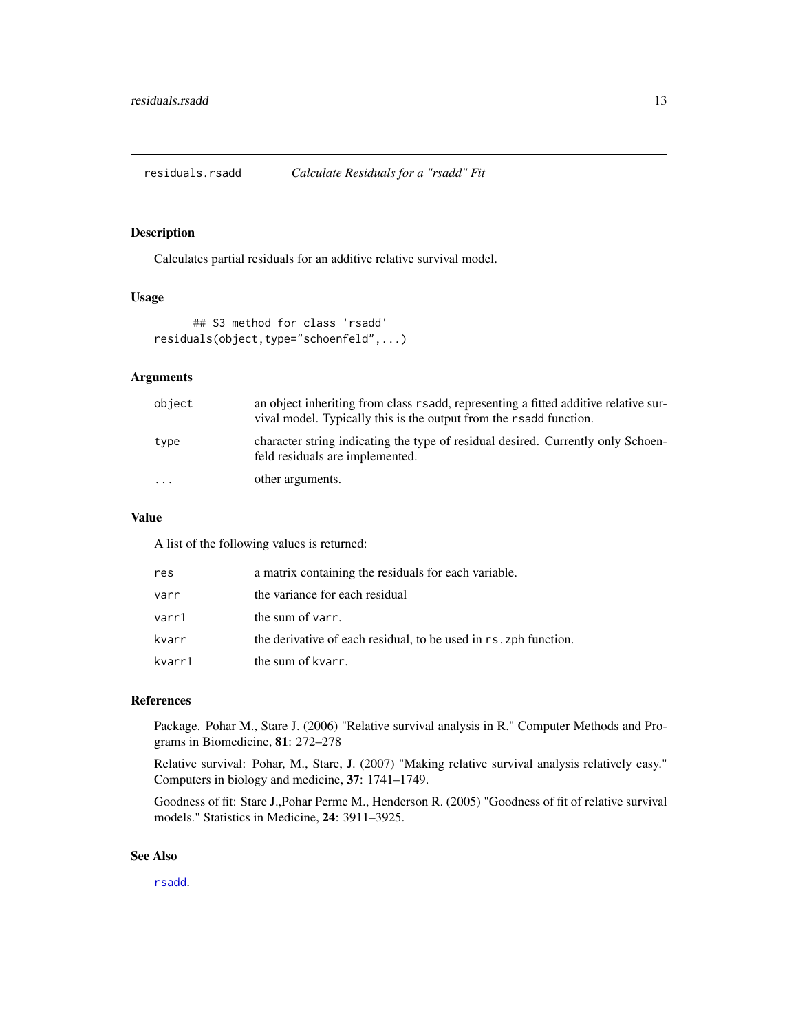<span id="page-12-0"></span>residuals.rsadd *Calculate Residuals for a "rsadd" Fit*

#### Description

Calculates partial residuals for an additive relative survival model.

### Usage

```
## S3 method for class 'rsadd'
residuals(object,type="schoenfeld",...)
```
### Arguments

| object   | an object inheriting from class r sadd, representing a fitted additive relative sur-<br>vival model. Typically this is the output from the r sadd function. |
|----------|-------------------------------------------------------------------------------------------------------------------------------------------------------------|
| type     | character string indicating the type of residual desired. Currently only Schoen-<br>feld residuals are implemented.                                         |
| $\cdots$ | other arguments.                                                                                                                                            |

#### Value

A list of the following values is returned:

| res    | a matrix containing the residuals for each variable.             |  |  |  |
|--------|------------------------------------------------------------------|--|--|--|
| varr   | the variance for each residual                                   |  |  |  |
| varr1  | the sum of varr.                                                 |  |  |  |
| kvarr  | the derivative of each residual, to be used in rs. zph function. |  |  |  |
| kvarr1 | the sum of kvarr.                                                |  |  |  |

### References

Package. Pohar M., Stare J. (2006) "Relative survival analysis in R." Computer Methods and Programs in Biomedicine, 81: 272–278

Relative survival: Pohar, M., Stare, J. (2007) "Making relative survival analysis relatively easy." Computers in biology and medicine, 37: 1741–1749.

Goodness of fit: Stare J.,Pohar Perme M., Henderson R. (2005) "Goodness of fit of relative survival models." Statistics in Medicine, 24: 3911–3925.

#### See Also

[rsadd](#page-20-1).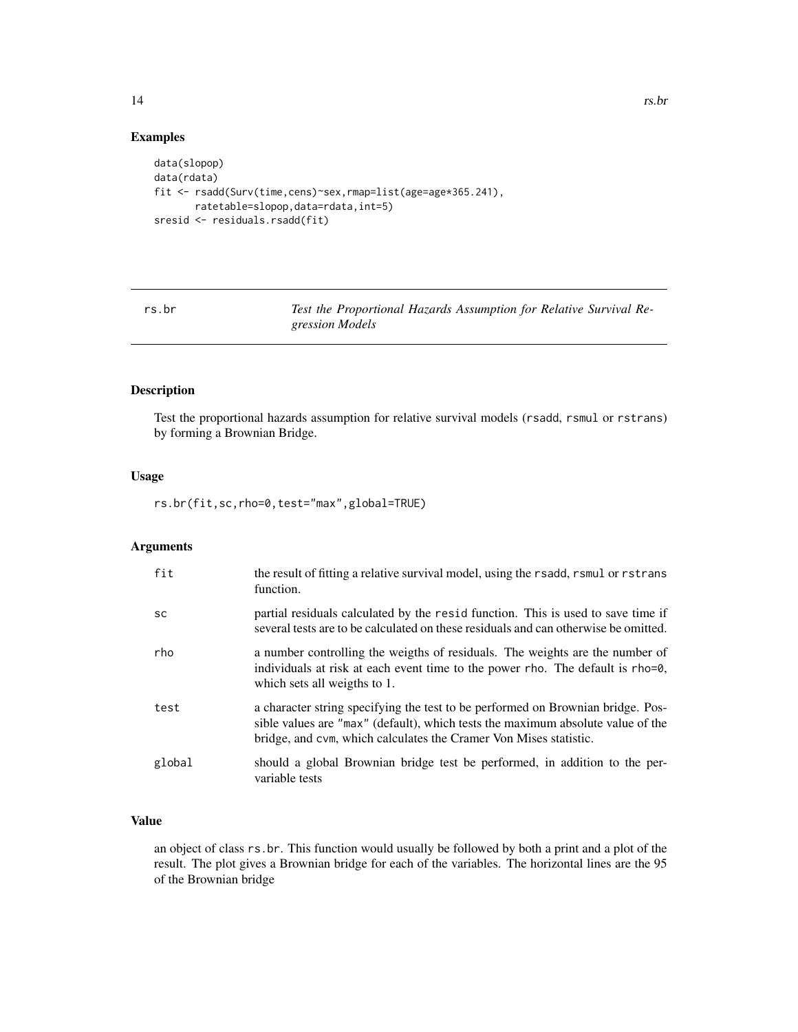### Examples

```
data(slopop)
data(rdata)
fit <- rsadd(Surv(time,cens)~sex,rmap=list(age=age*365.241),
       ratetable=slopop,data=rdata,int=5)
sresid <- residuals.rsadd(fit)
```
rs.br *Test the Proportional Hazards Assumption for Relative Survival Regression Models*

### Description

Test the proportional hazards assumption for relative survival models (rsadd, rsmul or rstrans) by forming a Brownian Bridge.

### Usage

rs.br(fit,sc,rho=0,test="max",global=TRUE)

### Arguments

| fit       | the result of fitting a relative survival model, using the rsadd, rsmul or rstrans<br>function.                                                                                                                                         |
|-----------|-----------------------------------------------------------------------------------------------------------------------------------------------------------------------------------------------------------------------------------------|
| <b>SC</b> | partial residuals calculated by the resid function. This is used to save time if<br>several tests are to be calculated on these residuals and can otherwise be omitted.                                                                 |
| rho       | a number controlling the weigths of residuals. The weights are the number of<br>individuals at risk at each event time to the power rho. The default is rho=0,<br>which sets all weigths to 1.                                          |
| test      | a character string specifying the test to be performed on Brownian bridge. Pos-<br>sible values are "max" (default), which tests the maximum absolute value of the<br>bridge, and cym, which calculates the Cramer Von Mises statistic. |
| global    | should a global Brownian bridge test be performed, in addition to the per-<br>variable tests                                                                                                                                            |

### Value

an object of class rs.br. This function would usually be followed by both a print and a plot of the result. The plot gives a Brownian bridge for each of the variables. The horizontal lines are the 95 of the Brownian bridge

<span id="page-13-0"></span>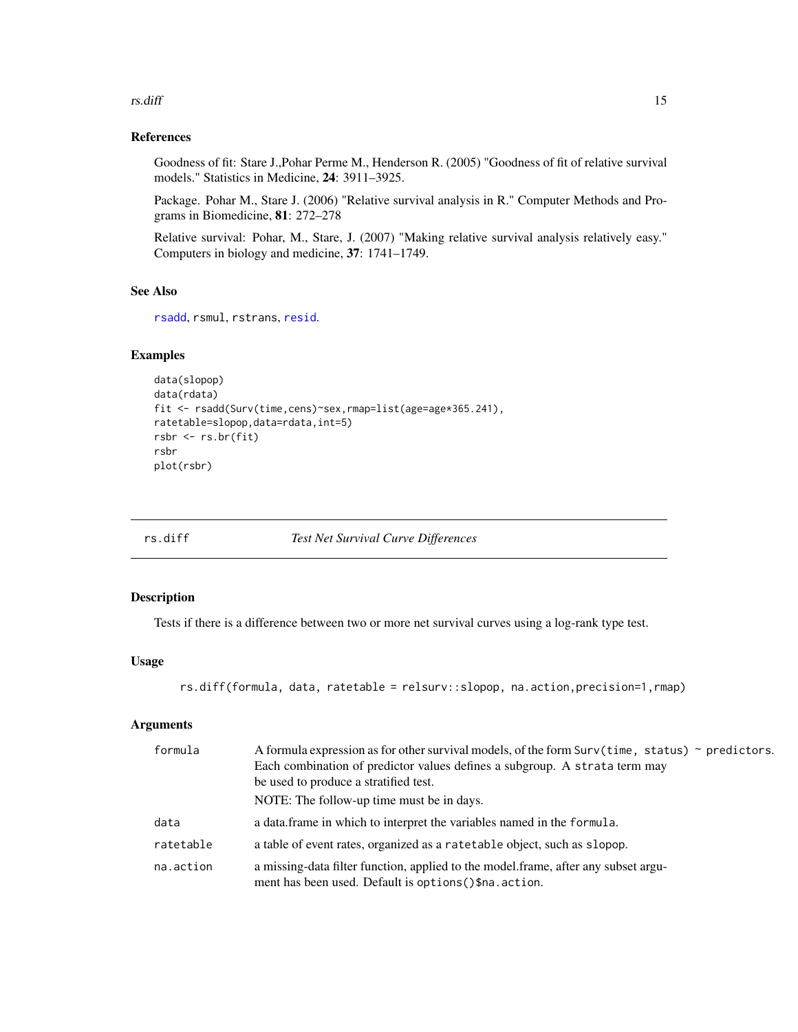#### <span id="page-14-0"></span>rs.diff and the contract of the contract of the contract of the contract of the contract of the contract of the contract of the contract of the contract of the contract of the contract of the contract of the contract of th

### References

Goodness of fit: Stare J.,Pohar Perme M., Henderson R. (2005) "Goodness of fit of relative survival models." Statistics in Medicine, 24: 3911–3925.

Package. Pohar M., Stare J. (2006) "Relative survival analysis in R." Computer Methods and Programs in Biomedicine, 81: 272–278

Relative survival: Pohar, M., Stare, J. (2007) "Making relative survival analysis relatively easy." Computers in biology and medicine, 37: 1741–1749.

### See Also

```
rsadd, rsmul, rstrans, resid.
```
### Examples

```
data(slopop)
data(rdata)
fit <- rsadd(Surv(time,cens)~sex,rmap=list(age=age*365.241),
ratetable=slopop,data=rdata,int=5)
rsbr <- rs.br(fit)
rsbr
plot(rsbr)
```
rs.diff *Test Net Survival Curve Differences*

### Description

Tests if there is a difference between two or more net survival curves using a log-rank type test.

### Usage

rs.diff(formula, data, ratetable = relsurv::slopop, na.action,precision=1,rmap)

| formula   | A formula expression as for other survival models, of the form $\text{Surv}(\text{time}, \text{status})$ ~ predictors.<br>Each combination of predictor values defines a subgroup. A strata term may<br>be used to produce a stratified test.<br>NOTE: The follow-up time must be in days. |
|-----------|--------------------------------------------------------------------------------------------------------------------------------------------------------------------------------------------------------------------------------------------------------------------------------------------|
| data      | a data frame in which to interpret the variables named in the formula.                                                                                                                                                                                                                     |
| ratetable | a table of event rates, organized as a rate table object, such as slopop.                                                                                                                                                                                                                  |
| na.action | a missing-data filter function, applied to the model.frame, after any subset argu-<br>ment has been used. Default is options () \$na. action.                                                                                                                                              |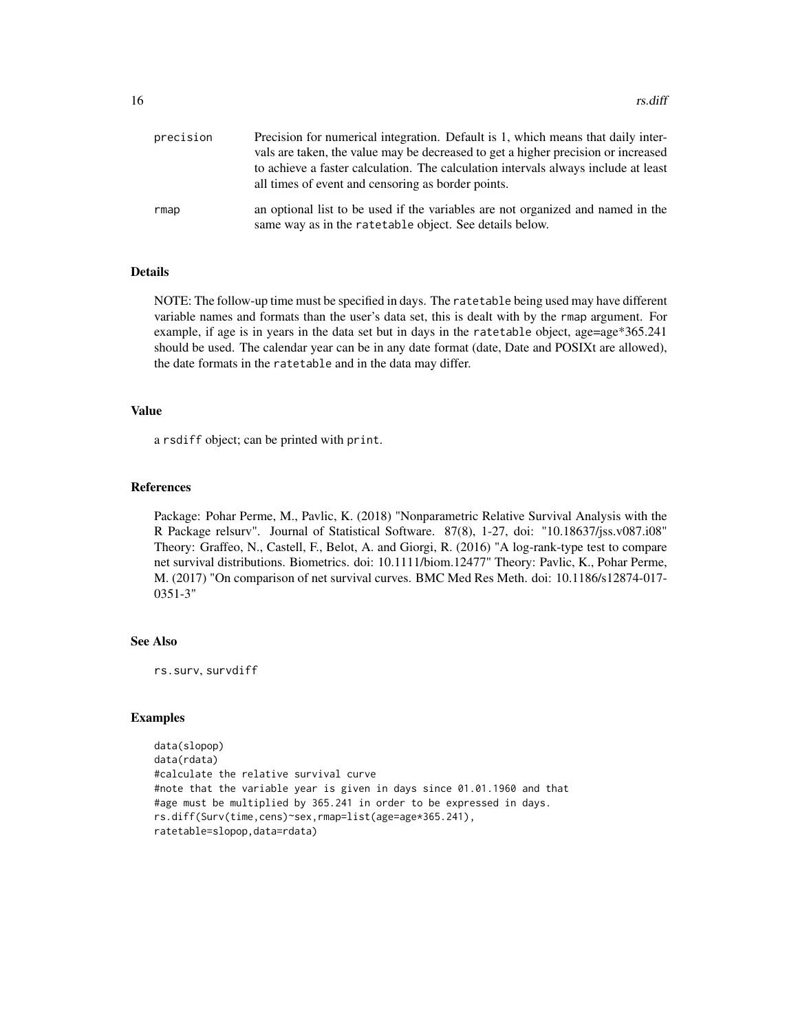| precision | Precision for numerical integration. Default is 1, which means that daily inter-                                                           |
|-----------|--------------------------------------------------------------------------------------------------------------------------------------------|
|           | vals are taken, the value may be decreased to get a higher precision or increased                                                          |
|           | to achieve a faster calculation. The calculation intervals always include at least                                                         |
|           | all times of event and censoring as border points.                                                                                         |
| rmap      | an optional list to be used if the variables are not organized and named in the<br>same way as in the ratetable object. See details below. |

### Details

NOTE: The follow-up time must be specified in days. The ratetable being used may have different variable names and formats than the user's data set, this is dealt with by the rmap argument. For example, if age is in years in the data set but in days in the ratetable object, age=age\*365.241 should be used. The calendar year can be in any date format (date, Date and POSIXt are allowed), the date formats in the ratetable and in the data may differ.

### Value

a rsdiff object; can be printed with print.

#### References

Package: Pohar Perme, M., Pavlic, K. (2018) "Nonparametric Relative Survival Analysis with the R Package relsurv". Journal of Statistical Software. 87(8), 1-27, doi: "10.18637/jss.v087.i08" Theory: Graffeo, N., Castell, F., Belot, A. and Giorgi, R. (2016) "A log-rank-type test to compare net survival distributions. Biometrics. doi: 10.1111/biom.12477" Theory: Pavlic, K., Pohar Perme, M. (2017) "On comparison of net survival curves. BMC Med Res Meth. doi: 10.1186/s12874-017- 0351-3"

### See Also

rs.surv, survdiff

### Examples

```
data(slopop)
data(rdata)
#calculate the relative survival curve
#note that the variable year is given in days since 01.01.1960 and that
#age must be multiplied by 365.241 in order to be expressed in days.
rs.diff(Surv(time,cens)~sex,rmap=list(age=age*365.241),
ratetable=slopop,data=rdata)
```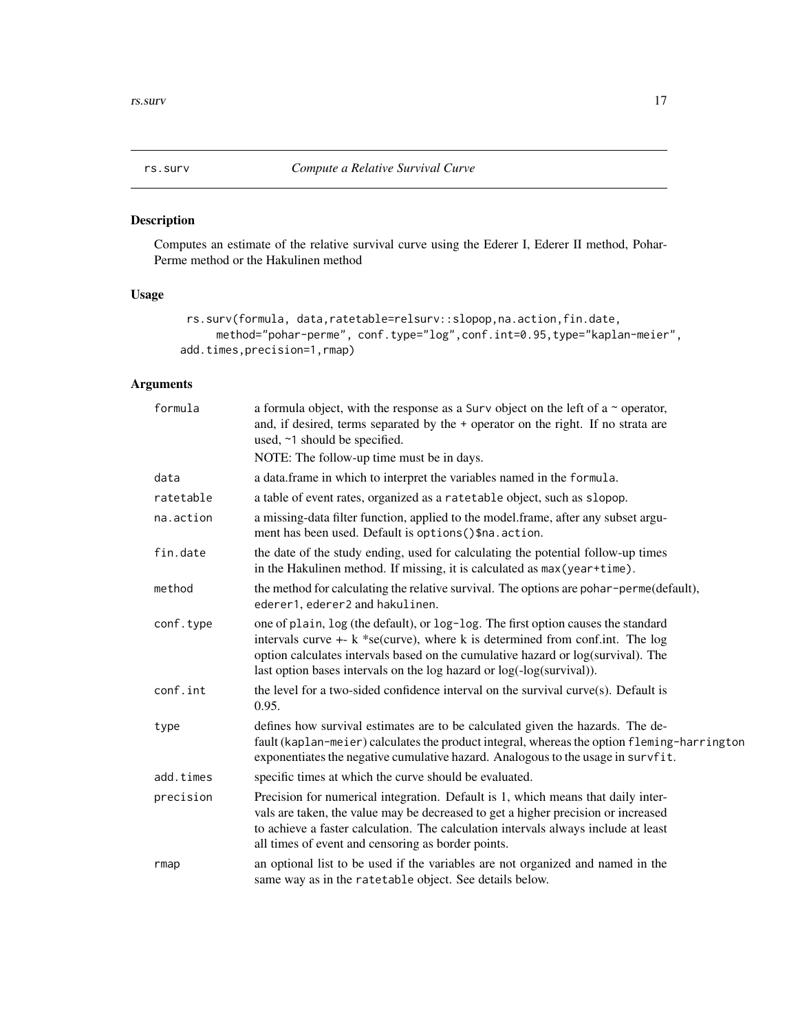<span id="page-16-1"></span><span id="page-16-0"></span>

Computes an estimate of the relative survival curve using the Ederer I, Ederer II method, Pohar-Perme method or the Hakulinen method

### Usage

```
rs.surv(formula, data,ratetable=relsurv::slopop,na.action,fin.date,
     method="pohar-perme", conf.type="log",conf.int=0.95,type="kaplan-meier",
add.times,precision=1,rmap)
```

| formula   | a formula object, with the response as a Surv object on the left of a $\sim$ operator,<br>and, if desired, terms separated by the + operator on the right. If no strata are<br>used, ~1 should be specified.<br>NOTE: The follow-up time must be in days.                                                                              |
|-----------|----------------------------------------------------------------------------------------------------------------------------------------------------------------------------------------------------------------------------------------------------------------------------------------------------------------------------------------|
| data      | a data.frame in which to interpret the variables named in the formula.                                                                                                                                                                                                                                                                 |
| ratetable | a table of event rates, organized as a ratetable object, such as slopop.                                                                                                                                                                                                                                                               |
| na.action | a missing-data filter function, applied to the model.frame, after any subset argu-<br>ment has been used. Default is options () \$na. action.                                                                                                                                                                                          |
| fin.date  | the date of the study ending, used for calculating the potential follow-up times<br>in the Hakulinen method. If missing, it is calculated as max (year+time).                                                                                                                                                                          |
| method    | the method for calculating the relative survival. The options are pohar-perme(default),<br>ederer1, ederer2 and hakulinen.                                                                                                                                                                                                             |
| conf.type | one of plain, log (the default), or log-log. The first option causes the standard<br>intervals curve $+$ - $k$ *se(curve), where $k$ is determined from conf.int. The log<br>option calculates intervals based on the cumulative hazard or log(survival). The<br>last option bases intervals on the log hazard or log(-log(survival)). |
| conf.int  | the level for a two-sided confidence interval on the survival curve(s). Default is<br>0.95.                                                                                                                                                                                                                                            |
| type      | defines how survival estimates are to be calculated given the hazards. The de-<br>fault (kaplan-meier) calculates the product integral, whereas the option fleming-harrington<br>exponentiates the negative cumulative hazard. Analogous to the usage in survfit.                                                                      |
| add.times | specific times at which the curve should be evaluated.                                                                                                                                                                                                                                                                                 |
| precision | Precision for numerical integration. Default is 1, which means that daily inter-<br>vals are taken, the value may be decreased to get a higher precision or increased<br>to achieve a faster calculation. The calculation intervals always include at least<br>all times of event and censoring as border points.                      |
| rmap      | an optional list to be used if the variables are not organized and named in the<br>same way as in the ratetable object. See details below.                                                                                                                                                                                             |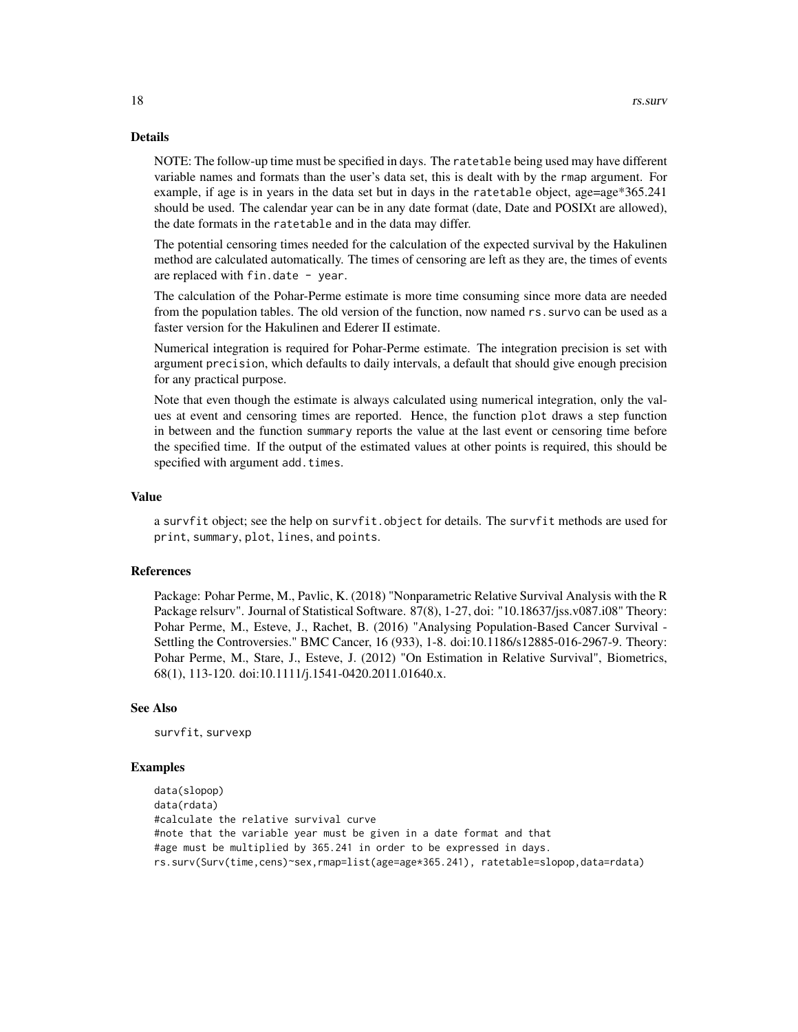#### Details

NOTE: The follow-up time must be specified in days. The ratetable being used may have different variable names and formats than the user's data set, this is dealt with by the rmap argument. For example, if age is in years in the data set but in days in the ratetable object, age=age\*365.241 should be used. The calendar year can be in any date format (date, Date and POSIXt are allowed), the date formats in the ratetable and in the data may differ.

The potential censoring times needed for the calculation of the expected survival by the Hakulinen method are calculated automatically. The times of censoring are left as they are, the times of events are replaced with  $fin.data - year$ .

The calculation of the Pohar-Perme estimate is more time consuming since more data are needed from the population tables. The old version of the function, now named rs.survo can be used as a faster version for the Hakulinen and Ederer II estimate.

Numerical integration is required for Pohar-Perme estimate. The integration precision is set with argument precision, which defaults to daily intervals, a default that should give enough precision for any practical purpose.

Note that even though the estimate is always calculated using numerical integration, only the values at event and censoring times are reported. Hence, the function plot draws a step function in between and the function summary reports the value at the last event or censoring time before the specified time. If the output of the estimated values at other points is required, this should be specified with argument add.times.

#### Value

a survfit object; see the help on survfit.object for details. The survfit methods are used for print, summary, plot, lines, and points.

#### References

Package: Pohar Perme, M., Pavlic, K. (2018) "Nonparametric Relative Survival Analysis with the R Package relsurv". Journal of Statistical Software. 87(8), 1-27, doi: "10.18637/jss.v087.i08" Theory: Pohar Perme, M., Esteve, J., Rachet, B. (2016) "Analysing Population-Based Cancer Survival - Settling the Controversies." BMC Cancer, 16 (933), 1-8. doi:10.1186/s12885-016-2967-9. Theory: Pohar Perme, M., Stare, J., Esteve, J. (2012) "On Estimation in Relative Survival", Biometrics, 68(1), 113-120. doi:10.1111/j.1541-0420.2011.01640.x.

#### See Also

survfit, survexp

#### Examples

```
data(slopop)
data(rdata)
#calculate the relative survival curve
#note that the variable year must be given in a date format and that
#age must be multiplied by 365.241 in order to be expressed in days.
rs.surv(Surv(time,cens)~sex,rmap=list(age=age*365.241), ratetable=slopop,data=rdata)
```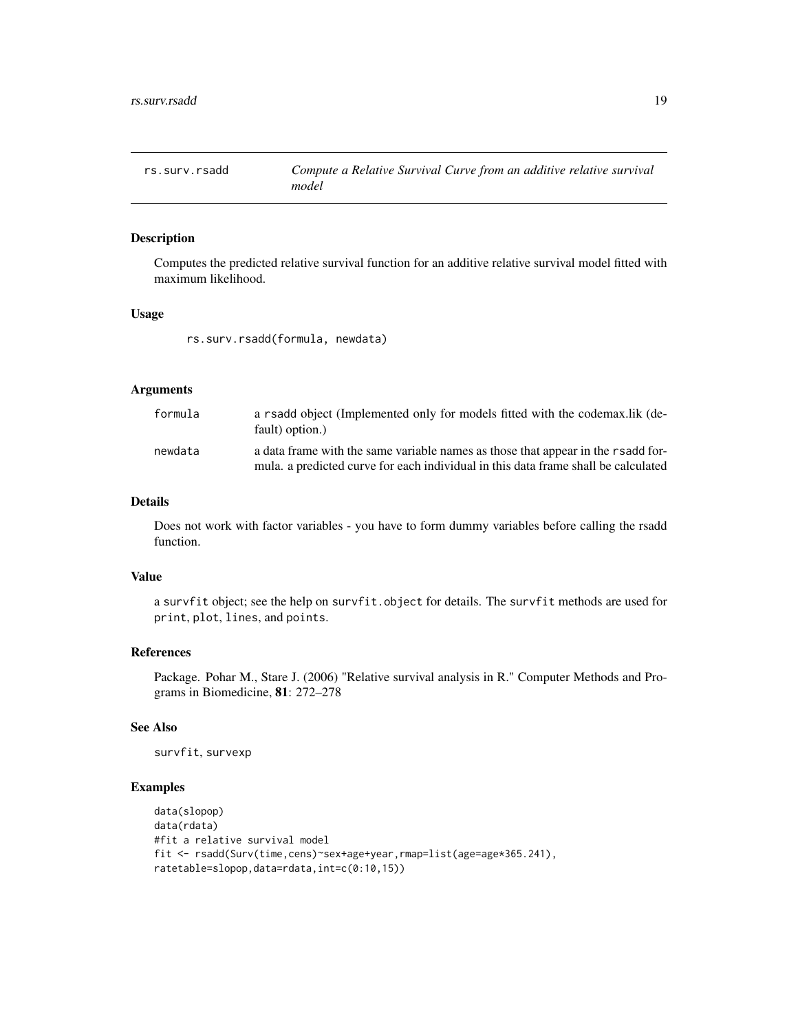<span id="page-18-0"></span>

Computes the predicted relative survival function for an additive relative survival model fitted with maximum likelihood.

### Usage

rs.surv.rsadd(formula, newdata)

### Arguments

| formula | a rsadd object (Implemented only for models fitted with the codemax.lik (de-<br>fault) option.)                                                                        |
|---------|------------------------------------------------------------------------------------------------------------------------------------------------------------------------|
| newdata | a data frame with the same variable names as those that appear in the rsadd for-<br>mula, a predicted curve for each individual in this data frame shall be calculated |

### Details

Does not work with factor variables - you have to form dummy variables before calling the rsadd function.

#### Value

a survfit object; see the help on survfit.object for details. The survfit methods are used for print, plot, lines, and points.

### References

Package. Pohar M., Stare J. (2006) "Relative survival analysis in R." Computer Methods and Programs in Biomedicine, 81: 272–278

### See Also

survfit, survexp

### Examples

```
data(slopop)
data(rdata)
#fit a relative survival model
fit <- rsadd(Surv(time,cens)~sex+age+year,rmap=list(age=age*365.241),
ratetable=slopop,data=rdata,int=c(0:10,15))
```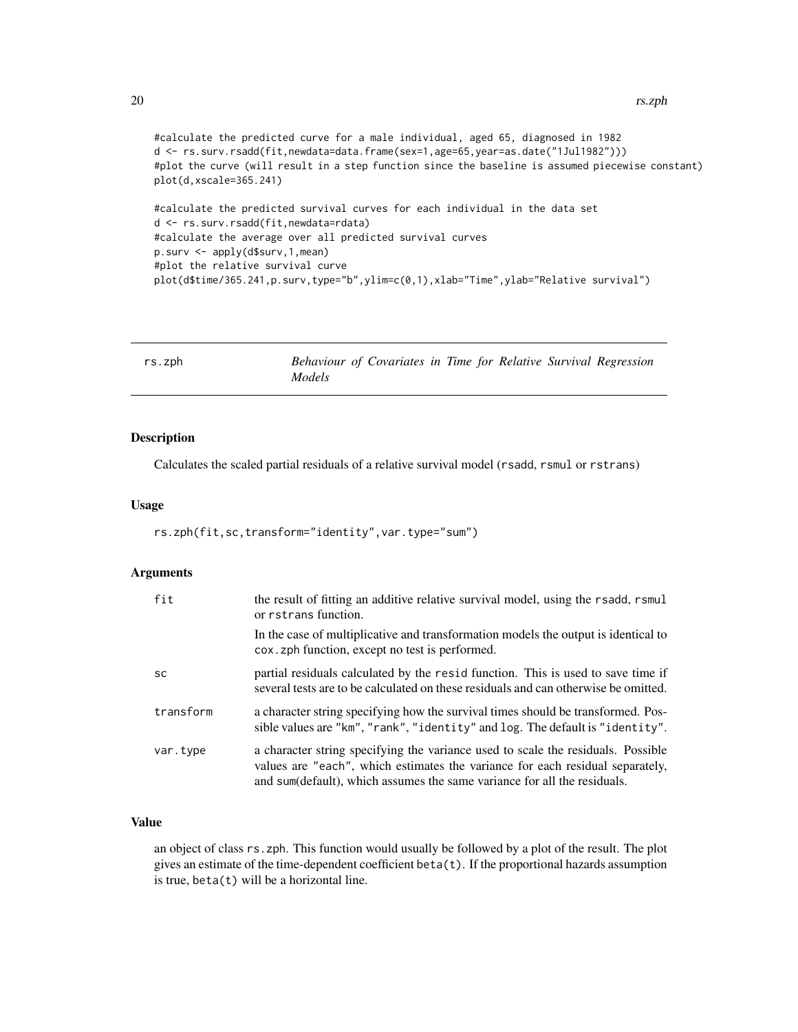```
#calculate the predicted curve for a male individual, aged 65, diagnosed in 1982
d <- rs.surv.rsadd(fit,newdata=data.frame(sex=1,age=65,year=as.date("1Jul1982")))
#plot the curve (will result in a step function since the baseline is assumed piecewise constant)
plot(d,xscale=365.241)
#calculate the predicted survival curves for each individual in the data set
d <- rs.surv.rsadd(fit,newdata=rdata)
#calculate the average over all predicted survival curves
p.surv <- apply(d$surv,1,mean)
```
#plot the relative survival curve

plot(d\$time/365.241,p.surv,type="b",ylim=c(0,1),xlab="Time",ylab="Relative survival")

<span id="page-19-1"></span>

| rs.zph |        |  |  |  | Behaviour of Covariates in Time for Relative Survival Regression |
|--------|--------|--|--|--|------------------------------------------------------------------|
|        | Models |  |  |  |                                                                  |

### Description

Calculates the scaled partial residuals of a relative survival model (rsadd, rsmul or rstrans)

#### Usage

rs.zph(fit,sc,transform="identity",var.type="sum")

### Arguments

| fit       | the result of fitting an additive relative survival model, using the rsadd, rsmul<br>or rstrans function.                                                                                                                                     |
|-----------|-----------------------------------------------------------------------------------------------------------------------------------------------------------------------------------------------------------------------------------------------|
|           | In the case of multiplicative and transformation models the output is identical to<br>cox. zph function, except no test is performed.                                                                                                         |
| <b>SC</b> | partial residuals calculated by the resid function. This is used to save time if<br>several tests are to be calculated on these residuals and can otherwise be omitted.                                                                       |
| transform | a character string specifying how the survival times should be transformed. Pos-<br>sible values are "km", "rank", "identity" and log. The default is "identity".                                                                             |
| var.type  | a character string specifying the variance used to scale the residuals. Possible<br>values are "each", which estimates the variance for each residual separately,<br>and sum(default), which assumes the same variance for all the residuals. |

### Value

an object of class rs.zph. This function would usually be followed by a plot of the result. The plot gives an estimate of the time-dependent coefficient beta(t). If the proportional hazards assumption is true,  $beta(t)$  will be a horizontal line.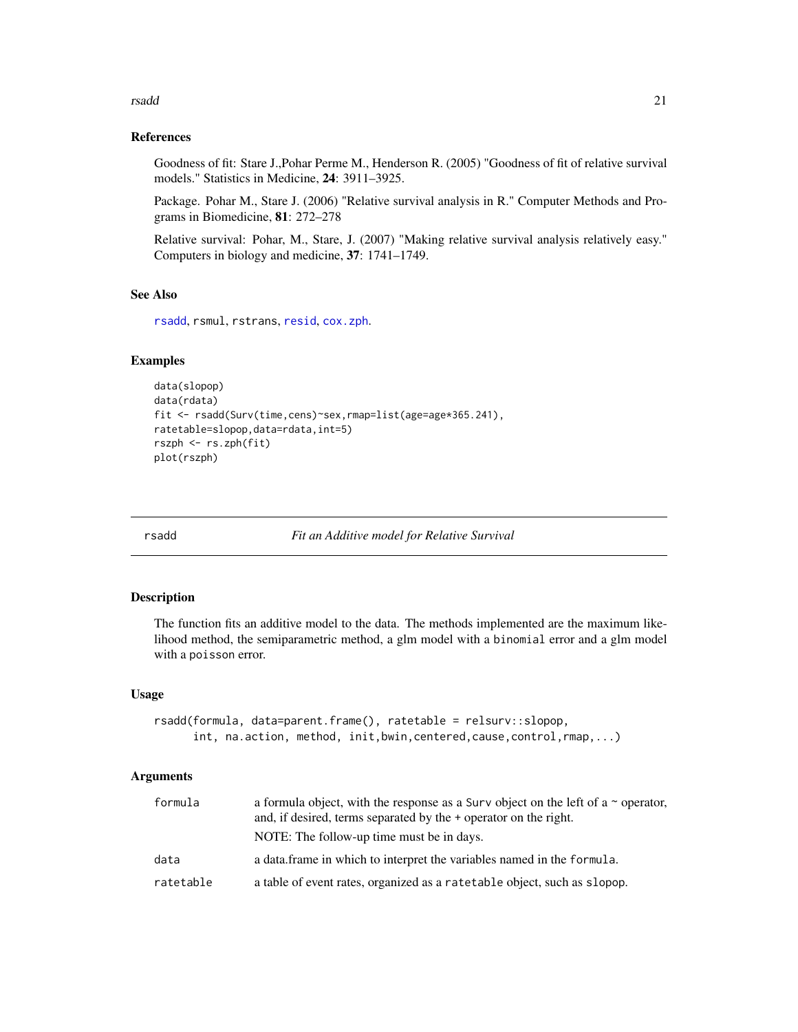#### <span id="page-20-0"></span>rsadd 21

### References

Goodness of fit: Stare J.,Pohar Perme M., Henderson R. (2005) "Goodness of fit of relative survival models." Statistics in Medicine, 24: 3911–3925.

Package. Pohar M., Stare J. (2006) "Relative survival analysis in R." Computer Methods and Programs in Biomedicine, 81: 272–278

Relative survival: Pohar, M., Stare, J. (2007) "Making relative survival analysis relatively easy." Computers in biology and medicine, 37: 1741–1749.

### See Also

[rsadd](#page-20-1), rsmul, rstrans, [resid](#page-0-0), [cox.zph](#page-0-0).

#### Examples

```
data(slopop)
data(rdata)
fit <- rsadd(Surv(time,cens)~sex,rmap=list(age=age*365.241),
ratetable=slopop,data=rdata,int=5)
rszph <- rs.zph(fit)
plot(rszph)
```
<span id="page-20-1"></span>

rsadd *Fit an Additive model for Relative Survival*

#### Description

The function fits an additive model to the data. The methods implemented are the maximum likelihood method, the semiparametric method, a glm model with a binomial error and a glm model with a poisson error.

#### Usage

```
rsadd(formula, data=parent.frame(), ratetable = relsurv::slopop,
     int, na.action, method, init,bwin,centered,cause,control,rmap,...)
```

| formula   | a formula object, with the response as a Surv object on the left of a $\sim$ operator,<br>and, if desired, terms separated by the + operator on the right. |
|-----------|------------------------------------------------------------------------------------------------------------------------------------------------------------|
| data      | NOTE: The follow-up time must be in days.<br>a data frame in which to interpret the variables named in the formula.                                        |
|           |                                                                                                                                                            |
| ratetable | a table of event rates, organized as a ratetable object, such as slopop.                                                                                   |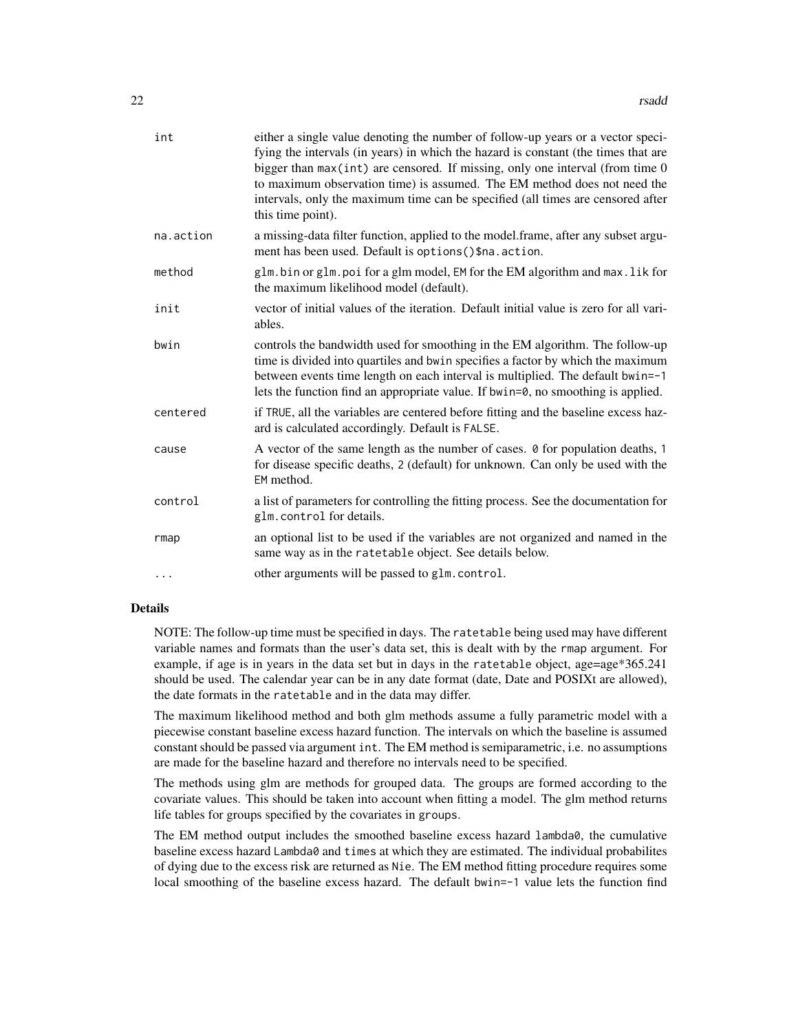| int       | either a single value denoting the number of follow-up years or a vector speci-<br>fying the intervals (in years) in which the hazard is constant (the times that are<br>bigger than max(int) are censored. If missing, only one interval (from time 0<br>to maximum observation time) is assumed. The EM method does not need the<br>intervals, only the maximum time can be specified (all times are censored after<br>this time point). |
|-----------|--------------------------------------------------------------------------------------------------------------------------------------------------------------------------------------------------------------------------------------------------------------------------------------------------------------------------------------------------------------------------------------------------------------------------------------------|
| na.action | a missing-data filter function, applied to the model.frame, after any subset argu-<br>ment has been used. Default is options () \$na. action.                                                                                                                                                                                                                                                                                              |
| method    | glm.bin or glm.poi for a glm model, EM for the EM algorithm and max.lik for<br>the maximum likelihood model (default).                                                                                                                                                                                                                                                                                                                     |
| init      | vector of initial values of the iteration. Default initial value is zero for all vari-<br>ables.                                                                                                                                                                                                                                                                                                                                           |
| bwin      | controls the bandwidth used for smoothing in the EM algorithm. The follow-up<br>time is divided into quartiles and bwin specifies a factor by which the maximum<br>between events time length on each interval is multiplied. The default bwin=-1<br>lets the function find an appropriate value. If bwin=0, no smoothing is applied.                                                                                                      |
| centered  | if TRUE, all the variables are centered before fitting and the baseline excess haz-<br>ard is calculated accordingly. Default is FALSE.                                                                                                                                                                                                                                                                                                    |
| cause     | A vector of the same length as the number of cases. 0 for population deaths, 1<br>for disease specific deaths, 2 (default) for unknown. Can only be used with the<br>EM method.                                                                                                                                                                                                                                                            |
| control   | a list of parameters for controlling the fitting process. See the documentation for<br>glm.control for details.                                                                                                                                                                                                                                                                                                                            |
| rmap      | an optional list to be used if the variables are not organized and named in the<br>same way as in the ratetable object. See details below.                                                                                                                                                                                                                                                                                                 |
| $\cdots$  | other arguments will be passed to glm.control.                                                                                                                                                                                                                                                                                                                                                                                             |
|           |                                                                                                                                                                                                                                                                                                                                                                                                                                            |

### Details

NOTE: The follow-up time must be specified in days. The ratetable being used may have different variable names and formats than the user's data set, this is dealt with by the rmap argument. For example, if age is in years in the data set but in days in the ratetable object, age=age\*365.241 should be used. The calendar year can be in any date format (date, Date and POSIXt are allowed), the date formats in the ratetable and in the data may differ.

The maximum likelihood method and both glm methods assume a fully parametric model with a piecewise constant baseline excess hazard function. The intervals on which the baseline is assumed constant should be passed via argument int. The EM method is semiparametric, i.e. no assumptions are made for the baseline hazard and therefore no intervals need to be specified.

The methods using glm are methods for grouped data. The groups are formed according to the covariate values. This should be taken into account when fitting a model. The glm method returns life tables for groups specified by the covariates in groups.

The EM method output includes the smoothed baseline excess hazard lambda0, the cumulative baseline excess hazard Lambda0 and times at which they are estimated. The individual probabilites of dying due to the excess risk are returned as Nie. The EM method fitting procedure requires some local smoothing of the baseline excess hazard. The default bwin=-1 value lets the function find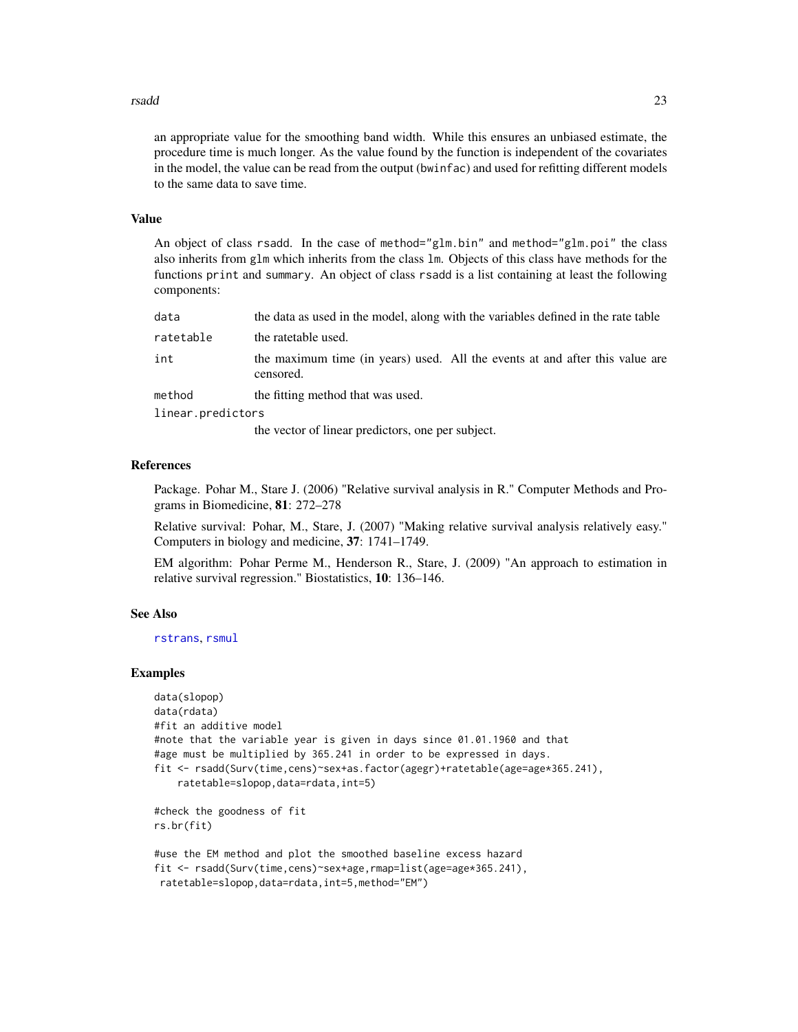#### <span id="page-22-0"></span>rsadd 23

an appropriate value for the smoothing band width. While this ensures an unbiased estimate, the procedure time is much longer. As the value found by the function is independent of the covariates in the model, the value can be read from the output (bwinfac) and used for refitting different models to the same data to save time.

### Value

An object of class rsadd. In the case of method="glm.bin" and method="glm.poi" the class also inherits from glm which inherits from the class lm. Objects of this class have methods for the functions print and summary. An object of class rsadd is a list containing at least the following components:

| data              | the data as used in the model, along with the variables defined in the rate table         |  |
|-------------------|-------------------------------------------------------------------------------------------|--|
| ratetable         | the ratetable used.                                                                       |  |
| int               | the maximum time (in years) used. All the events at and after this value are<br>censored. |  |
| method            | the fitting method that was used.                                                         |  |
| linear.predictors |                                                                                           |  |
|                   |                                                                                           |  |

the vector of linear predictors, one per subject.

### References

Package. Pohar M., Stare J. (2006) "Relative survival analysis in R." Computer Methods and Programs in Biomedicine, 81: 272–278

Relative survival: Pohar, M., Stare, J. (2007) "Making relative survival analysis relatively easy." Computers in biology and medicine, 37: 1741–1749.

EM algorithm: Pohar Perme M., Henderson R., Stare, J. (2009) "An approach to estimation in relative survival regression." Biostatistics, 10: 136–146.

### See Also

[rstrans](#page-25-1), [rsmul](#page-23-1)

#### Examples

```
data(slopop)
data(rdata)
#fit an additive model
#note that the variable year is given in days since 01.01.1960 and that
#age must be multiplied by 365.241 in order to be expressed in days.
fit <- rsadd(Surv(time,cens)~sex+as.factor(agegr)+ratetable(age=age*365.241),
    ratetable=slopop,data=rdata,int=5)
#check the goodness of fit
rs.br(fit)
#use the EM method and plot the smoothed baseline excess hazard
fit <- rsadd(Surv(time,cens)~sex+age,rmap=list(age=age*365.241),
```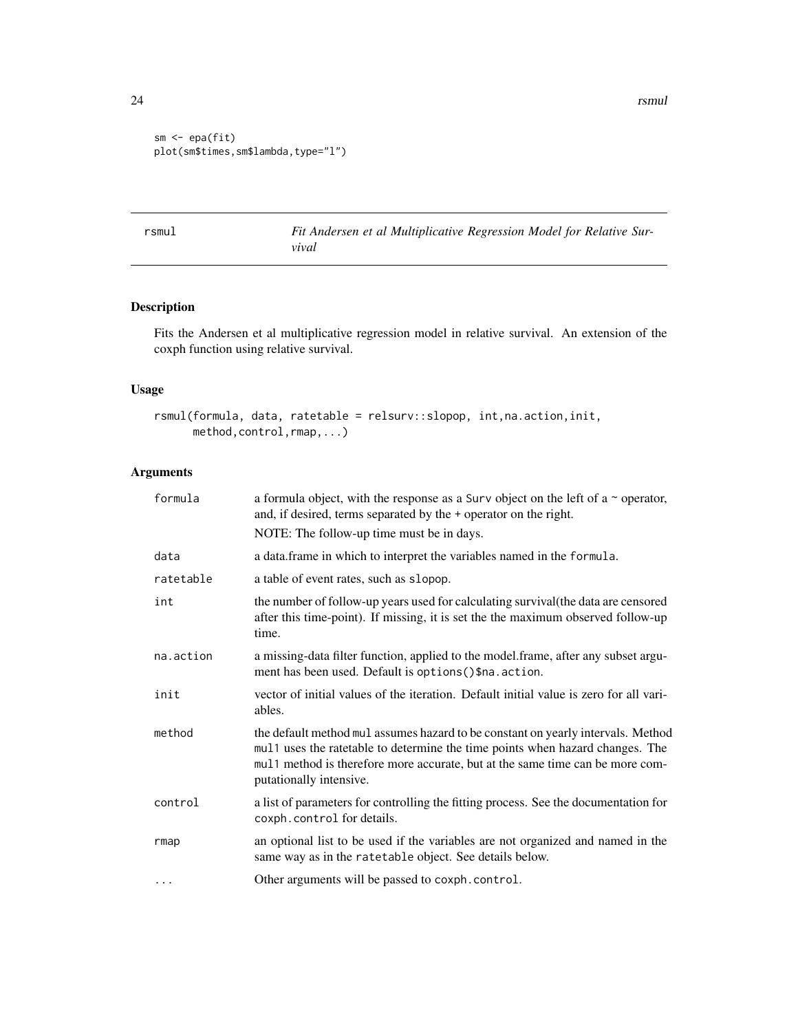24 **rsmul** 

```
sm \leftarrow epa(fit)plot(sm$times,sm$lambda,type="l")
```
<span id="page-23-1"></span>rsmul *Fit Andersen et al Multiplicative Regression Model for Relative Survival*

### Description

Fits the Andersen et al multiplicative regression model in relative survival. An extension of the coxph function using relative survival.

### Usage

```
rsmul(formula, data, ratetable = relsurv::slopop, int,na.action,init,
     method,control,rmap,...)
```

| formula   | a formula object, with the response as a Surv object on the left of a $\sim$ operator,<br>and, if desired, terms separated by the + operator on the right.                                                                                                                    |
|-----------|-------------------------------------------------------------------------------------------------------------------------------------------------------------------------------------------------------------------------------------------------------------------------------|
|           | NOTE: The follow-up time must be in days.                                                                                                                                                                                                                                     |
| data      | a data frame in which to interpret the variables named in the formula.                                                                                                                                                                                                        |
| ratetable | a table of event rates, such as slopop.                                                                                                                                                                                                                                       |
| int       | the number of follow-up years used for calculating survival (the data are censored<br>after this time-point). If missing, it is set the the maximum observed follow-up<br>time.                                                                                               |
| na.action | a missing-data filter function, applied to the model.frame, after any subset argu-<br>ment has been used. Default is options () \$na. action.                                                                                                                                 |
| init      | vector of initial values of the iteration. Default initial value is zero for all vari-<br>ables.                                                                                                                                                                              |
| method    | the default method mul assumes hazard to be constant on yearly intervals. Method<br>mul1 uses the ratetable to determine the time points when hazard changes. The<br>mul1 method is therefore more accurate, but at the same time can be more com-<br>putationally intensive. |
| control   | a list of parameters for controlling the fitting process. See the documentation for<br>coxph.control for details.                                                                                                                                                             |
| rmap      | an optional list to be used if the variables are not organized and named in the<br>same way as in the ratetable object. See details below.                                                                                                                                    |
| $\ddotsc$ | Other arguments will be passed to coxph.control.                                                                                                                                                                                                                              |

<span id="page-23-0"></span>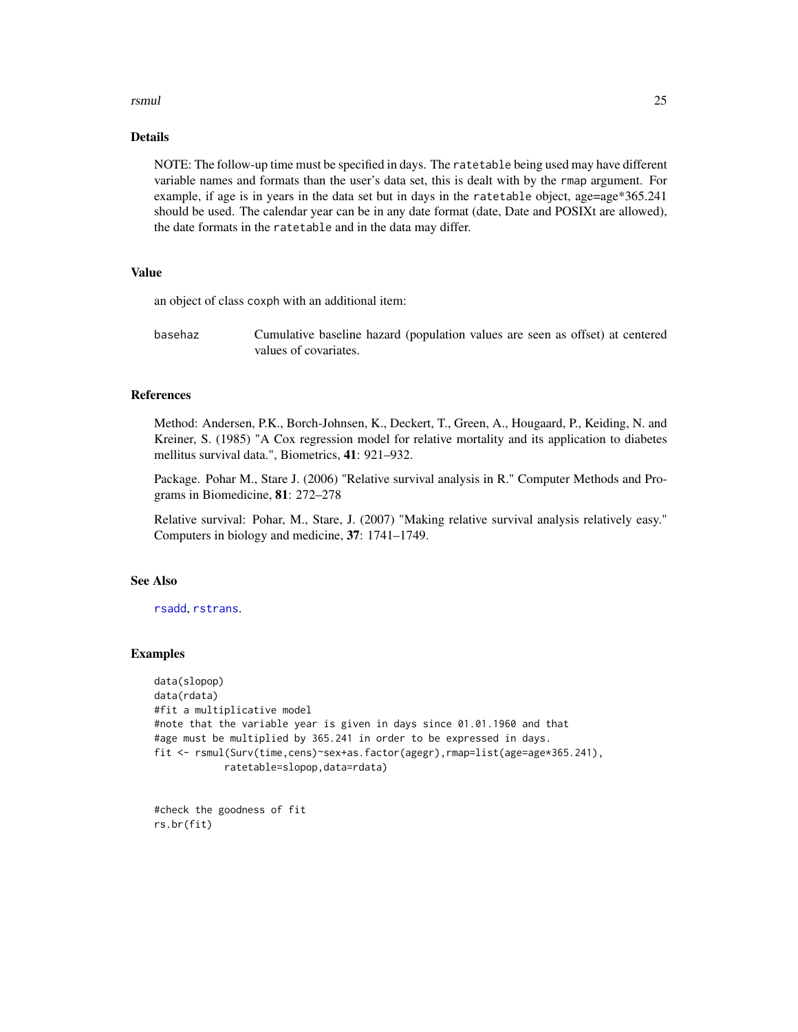#### <span id="page-24-0"></span>rsmul and the contract of the contract of the contract of the contract of the contract of the contract of the contract of the contract of the contract of the contract of the contract of the contract of the contract of the

### Details

NOTE: The follow-up time must be specified in days. The ratetable being used may have different variable names and formats than the user's data set, this is dealt with by the rmap argument. For example, if age is in years in the data set but in days in the ratetable object, age=age\*365.241 should be used. The calendar year can be in any date format (date, Date and POSIXt are allowed), the date formats in the ratetable and in the data may differ.

### Value

an object of class coxph with an additional item:

basehaz Cumulative baseline hazard (population values are seen as offset) at centered values of covariates.

### References

Method: Andersen, P.K., Borch-Johnsen, K., Deckert, T., Green, A., Hougaard, P., Keiding, N. and Kreiner, S. (1985) "A Cox regression model for relative mortality and its application to diabetes mellitus survival data.", Biometrics, 41: 921–932.

Package. Pohar M., Stare J. (2006) "Relative survival analysis in R." Computer Methods and Programs in Biomedicine, 81: 272–278

Relative survival: Pohar, M., Stare, J. (2007) "Making relative survival analysis relatively easy." Computers in biology and medicine, 37: 1741–1749.

#### See Also

[rsadd](#page-20-1), [rstrans](#page-25-1).

### Examples

```
data(slopop)
data(rdata)
#fit a multiplicative model
#note that the variable year is given in days since 01.01.1960 and that
#age must be multiplied by 365.241 in order to be expressed in days.
fit <- rsmul(Surv(time,cens)~sex+as.factor(agegr),rmap=list(age=age*365.241),
            ratetable=slopop,data=rdata)
```
#check the goodness of fit rs.br(fit)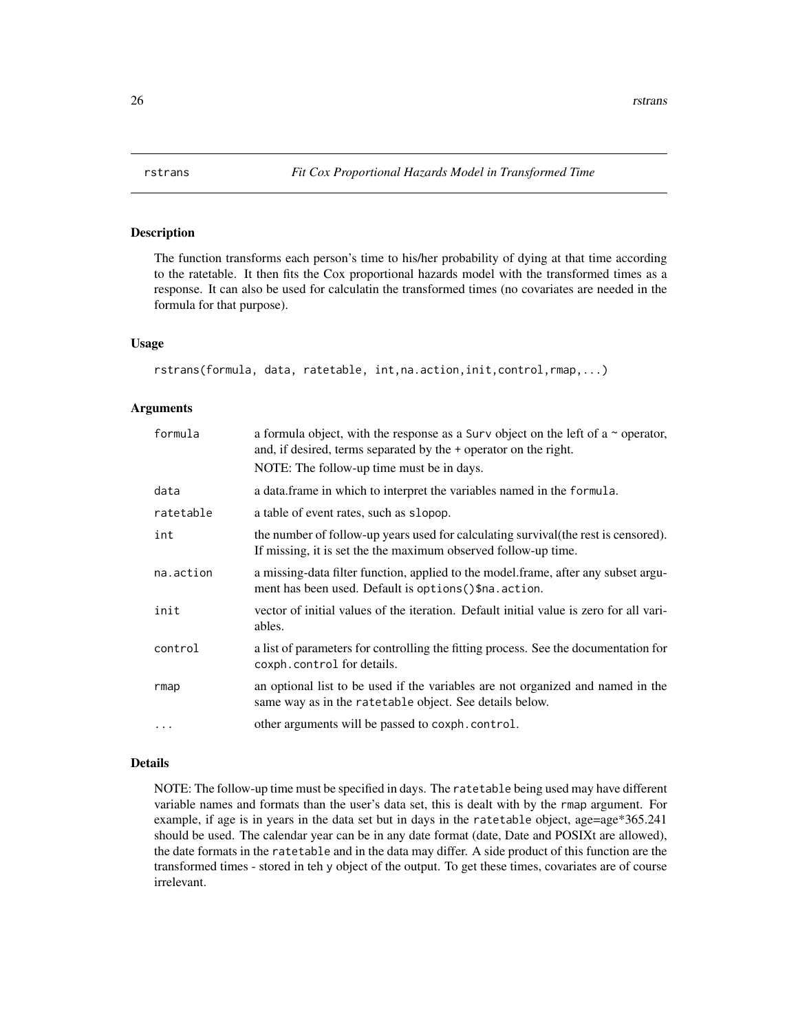The function transforms each person's time to his/her probability of dying at that time according to the ratetable. It then fits the Cox proportional hazards model with the transformed times as a response. It can also be used for calculatin the transformed times (no covariates are needed in the formula for that purpose).

### Usage

```
rstrans(formula, data, ratetable, int,na.action,init,control,rmap,...)
```
### Arguments

| formula   | a formula object, with the response as a Surv object on the left of a $\sim$ operator,<br>and, if desired, terms separated by the + operator on the right. |  |
|-----------|------------------------------------------------------------------------------------------------------------------------------------------------------------|--|
|           | NOTE: The follow-up time must be in days.                                                                                                                  |  |
| data      | a data.frame in which to interpret the variables named in the formula.                                                                                     |  |
| ratetable | a table of event rates, such as slopop.                                                                                                                    |  |
| int       | the number of follow-up years used for calculating survival (the rest is censored).<br>If missing, it is set the the maximum observed follow-up time.      |  |
| na.action | a missing-data filter function, applied to the model frame, after any subset argu-<br>ment has been used. Default is options () \$na. action.              |  |
| init      | vector of initial values of the iteration. Default initial value is zero for all vari-<br>ables.                                                           |  |
| control   | a list of parameters for controlling the fitting process. See the documentation for<br>coxph.control for details.                                          |  |
| rmap      | an optional list to be used if the variables are not organized and named in the<br>same way as in the ratetable object. See details below.                 |  |
| $\ddotsc$ | other arguments will be passed to coxph.control.                                                                                                           |  |

#### Details

NOTE: The follow-up time must be specified in days. The ratetable being used may have different variable names and formats than the user's data set, this is dealt with by the rmap argument. For example, if age is in years in the data set but in days in the ratetable object, age=age\*365.241 should be used. The calendar year can be in any date format (date, Date and POSIXt are allowed), the date formats in the ratetable and in the data may differ. A side product of this function are the transformed times - stored in teh y object of the output. To get these times, covariates are of course irrelevant.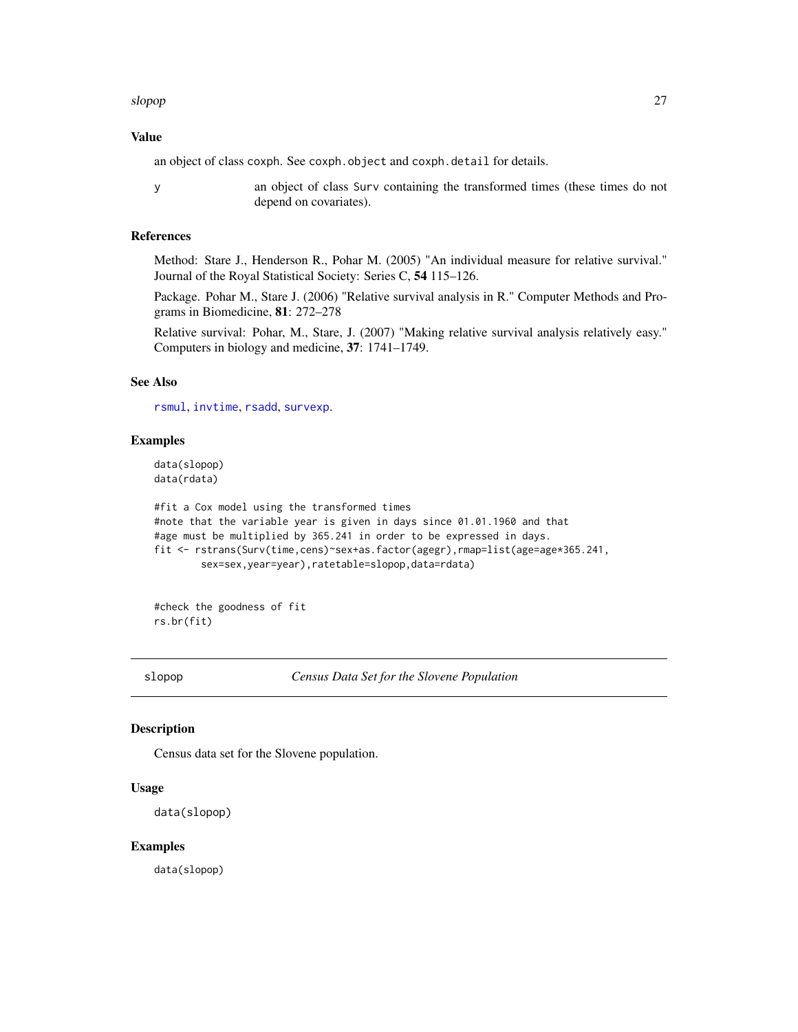#### <span id="page-26-0"></span>slopop 27 (2008) 27 (2008) 27 (2008) 28 (2009) 27 (2008) 28 (2009) 27 (2009) 27 (2009) 27 (2009) 27 (2009) 27 (2009) 27 (2009) 27 (2009) 27 (2009) 27 (2009) 27 (2009) 27 (2009) 27 (2009) 27 (2009) 27 (2009) 27 (2009) 27 (2

### Value

an object of class coxph. See coxph.object and coxph.detail for details.

y an object of class Surv containing the transformed times (these times do not depend on covariates).

### References

Method: Stare J., Henderson R., Pohar M. (2005) "An individual measure for relative survival." Journal of the Royal Statistical Society: Series C, 54 115–126.

Package. Pohar M., Stare J. (2006) "Relative survival analysis in R." Computer Methods and Programs in Biomedicine, 81: 272–278

Relative survival: Pohar, M., Stare, J. (2007) "Making relative survival analysis relatively easy." Computers in biology and medicine, 37: 1741–1749.

### See Also

[rsmul](#page-23-1), [invtime](#page-5-1), [rsadd](#page-20-1), [survexp](#page-0-0).

### Examples

data(slopop) data(rdata)

```
#fit a Cox model using the transformed times
#note that the variable year is given in days since 01.01.1960 and that
#age must be multiplied by 365.241 in order to be expressed in days.
fit <- rstrans(Surv(time,cens)~sex+as.factor(agegr),rmap=list(age=age*365.241,
       sex=sex,year=year),ratetable=slopop,data=rdata)
```
#check the goodness of fit rs.br(fit)

slopop *Census Data Set for the Slovene Population*

### Description

Census data set for the Slovene population.

#### Usage

```
data(slopop)
```
#### Examples

data(slopop)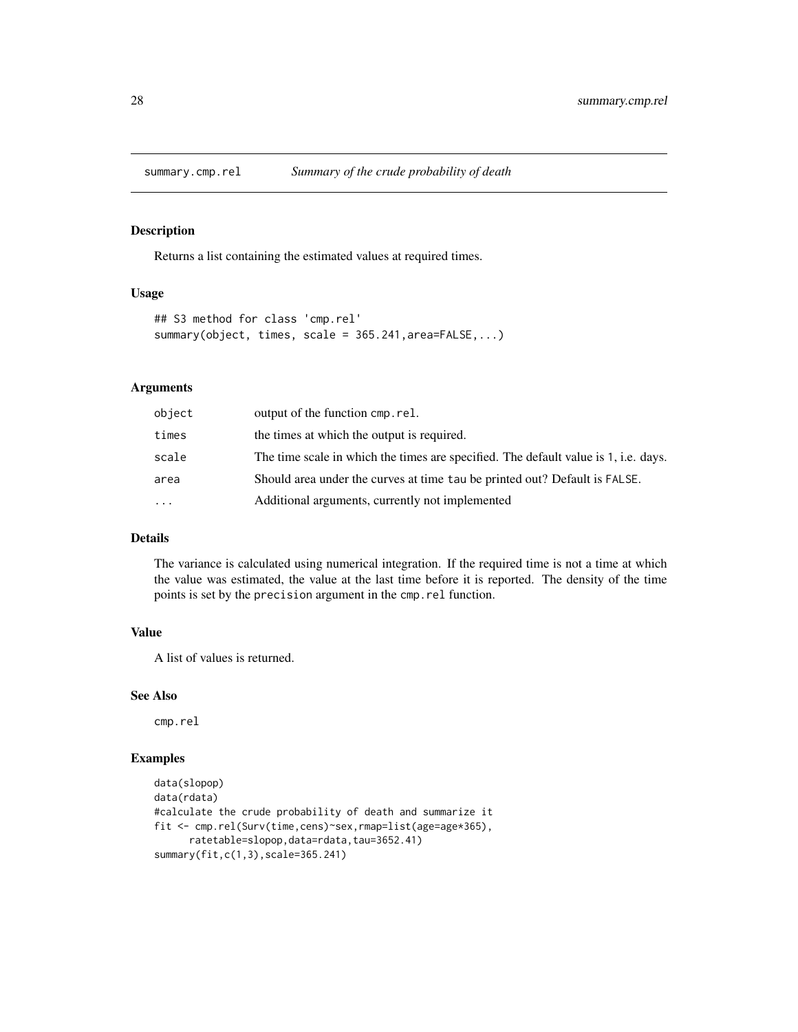<span id="page-27-0"></span>

Returns a list containing the estimated values at required times.

### Usage

```
## S3 method for class 'cmp.rel'
summary(object, times, scale = 365.241,area=FALSE,...)
```
### Arguments

| object   | output of the function cmp.rel.                                                     |
|----------|-------------------------------------------------------------------------------------|
| times    | the times at which the output is required.                                          |
| scale    | The time scale in which the times are specified. The default value is 1, i.e. days. |
| area     | Should area under the curves at time tau be printed out? Default is FALSE.          |
| $\cdots$ | Additional arguments, currently not implemented                                     |
|          |                                                                                     |

### Details

The variance is calculated using numerical integration. If the required time is not a time at which the value was estimated, the value at the last time before it is reported. The density of the time points is set by the precision argument in the cmp.rel function.

### Value

A list of values is returned.

#### See Also

cmp.rel

### Examples

```
data(slopop)
data(rdata)
#calculate the crude probability of death and summarize it
fit <- cmp.rel(Surv(time,cens)~sex,rmap=list(age=age*365),
      ratetable=slopop,data=rdata,tau=3652.41)
summary(fit,c(1,3),scale=365.241)
```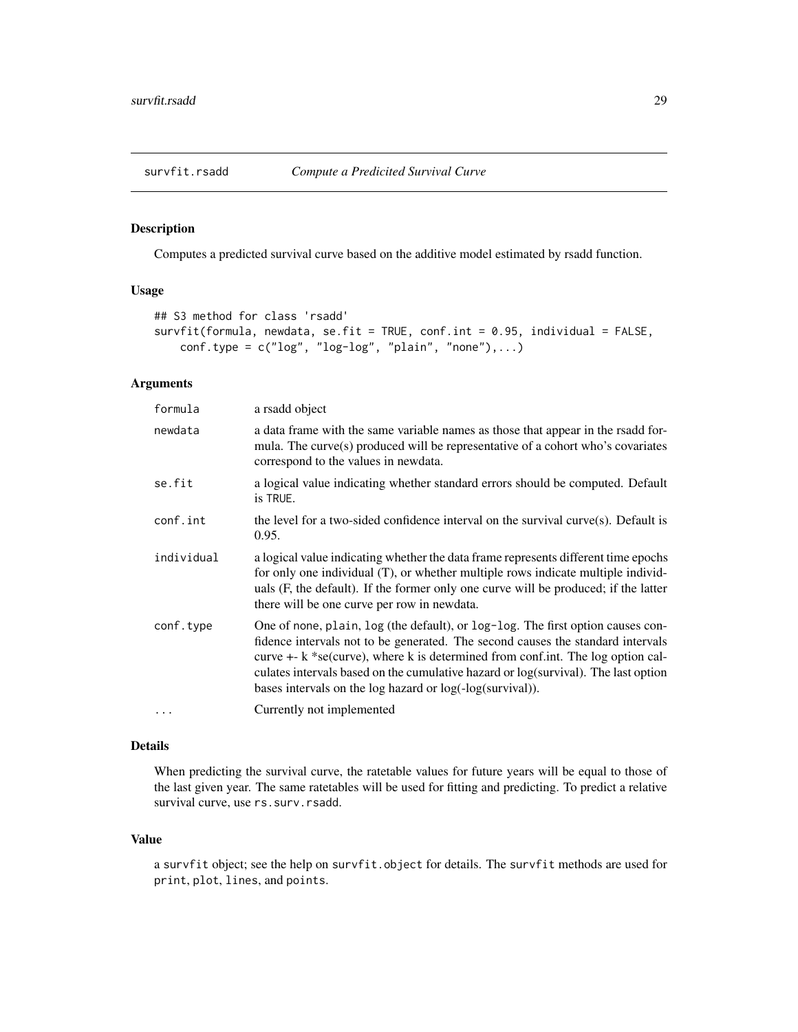<span id="page-28-0"></span>

Computes a predicted survival curve based on the additive model estimated by rsadd function.

### Usage

```
## S3 method for class 'rsadd'
survfit(formula, newdata, se.fit = TRUE, conf.int = 0.95, individual = FALSE,
    conf.\text{type} = c("log", "log-log", "plain", "none"), \ldots)
```
### Arguments

| formula    | a rsadd object                                                                                                                                                                                                                                                                                                                                                                                                  |  |
|------------|-----------------------------------------------------------------------------------------------------------------------------------------------------------------------------------------------------------------------------------------------------------------------------------------------------------------------------------------------------------------------------------------------------------------|--|
| newdata    | a data frame with the same variable names as those that appear in the rsadd for-<br>mula. The curve(s) produced will be representative of a cohort who's covariates<br>correspond to the values in newdata.                                                                                                                                                                                                     |  |
| se.fit     | a logical value indicating whether standard errors should be computed. Default<br>is TRUE.                                                                                                                                                                                                                                                                                                                      |  |
| conf.int   | the level for a two-sided confidence interval on the survival curve $(s)$ . Default is<br>0.95.                                                                                                                                                                                                                                                                                                                 |  |
| individual | a logical value indicating whether the data frame represents different time epochs<br>for only one individual (T), or whether multiple rows indicate multiple individ-<br>uals (F, the default). If the former only one curve will be produced; if the latter<br>there will be one curve per row in newdata.                                                                                                    |  |
| conf.type  | One of none, plain, log (the default), or log-log. The first option causes con-<br>fidence intervals not to be generated. The second causes the standard intervals<br>curve $+$ - k $*$ se(curve), where k is determined from conf. int. The log option cal-<br>culates intervals based on the cumulative hazard or log(survival). The last option<br>bases intervals on the log hazard or log(-log(survival)). |  |
| $\ddots$ . | Currently not implemented                                                                                                                                                                                                                                                                                                                                                                                       |  |

### Details

When predicting the survival curve, the ratetable values for future years will be equal to those of the last given year. The same ratetables will be used for fitting and predicting. To predict a relative survival curve, use rs.surv.rsadd.

### Value

a survfit object; see the help on survfit.object for details. The survfit methods are used for print, plot, lines, and points.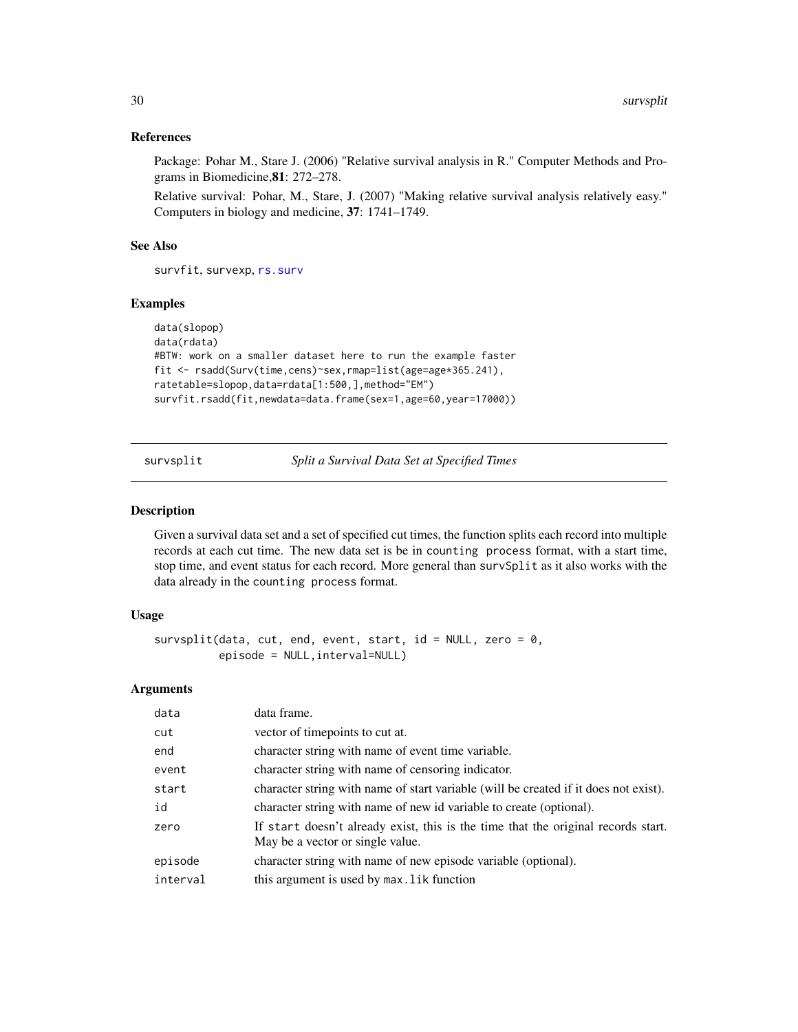### <span id="page-29-0"></span>References

Package: Pohar M., Stare J. (2006) "Relative survival analysis in R." Computer Methods and Programs in Biomedicine,81: 272–278.

Relative survival: Pohar, M., Stare, J. (2007) "Making relative survival analysis relatively easy." Computers in biology and medicine, 37: 1741–1749.

### See Also

survfit, survexp, [rs.surv](#page-16-1)

#### Examples

```
data(slopop)
data(rdata)
#BTW: work on a smaller dataset here to run the example faster
fit <- rsadd(Surv(time,cens)~sex,rmap=list(age=age*365.241),
ratetable=slopop,data=rdata[1:500,],method="EM")
survfit.rsadd(fit,newdata=data.frame(sex=1,age=60,year=17000))
```
survsplit *Split a Survival Data Set at Specified Times*

### Description

Given a survival data set and a set of specified cut times, the function splits each record into multiple records at each cut time. The new data set is be in counting process format, with a start time, stop time, and event status for each record. More general than survSplit as it also works with the data already in the counting process format.

### Usage

```
survsplit(data, cut, end, event, start, id = NULL, zero = 0,
          episode = NULL,interval=NULL)
```

| data     | data frame.                                                                                                           |  |
|----------|-----------------------------------------------------------------------------------------------------------------------|--|
| cut      | vector of timepoints to cut at.                                                                                       |  |
| end      | character string with name of event time variable.                                                                    |  |
| event    | character string with name of censoring indicator.                                                                    |  |
| start    | character string with name of start variable (will be created if it does not exist).                                  |  |
| id       | character string with name of new id variable to create (optional).                                                   |  |
| zero     | If start doesn't already exist, this is the time that the original records start.<br>May be a vector or single value. |  |
| episode  | character string with name of new episode variable (optional).                                                        |  |
| interval | this argument is used by max. Lik function                                                                            |  |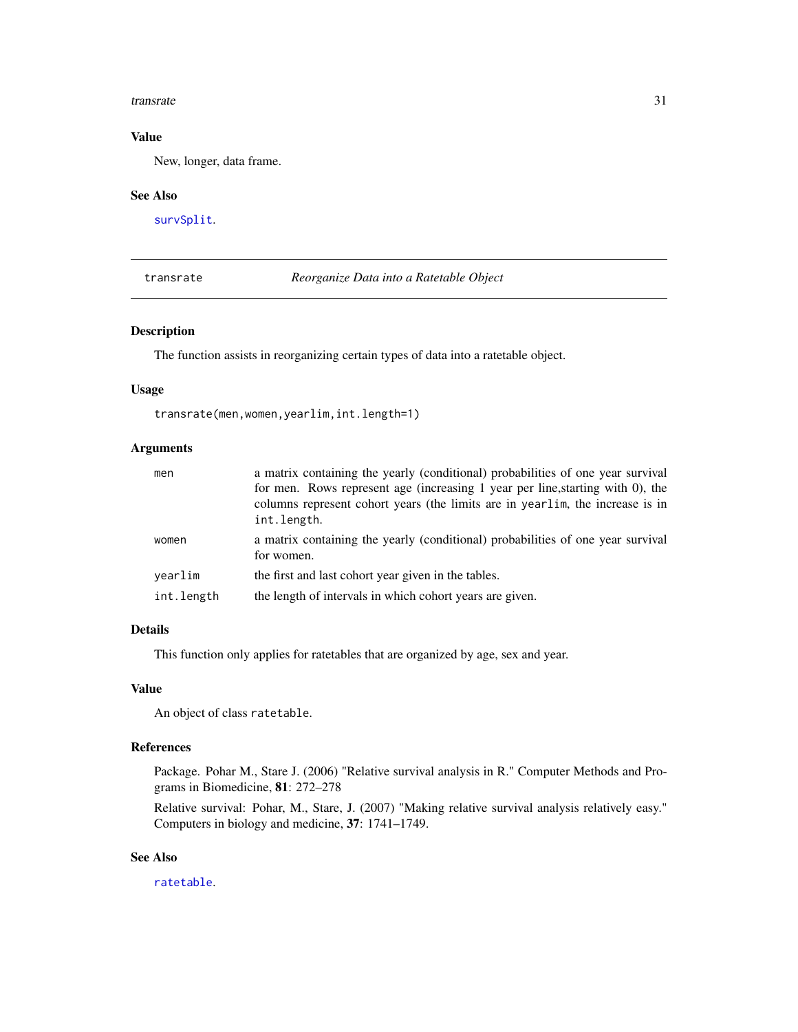#### <span id="page-30-0"></span>transrate 31

### Value

New, longer, data frame.

#### See Also

[survSplit](#page-0-0).

<span id="page-30-1"></span>transrate *Reorganize Data into a Ratetable Object*

### Description

The function assists in reorganizing certain types of data into a ratetable object.

#### Usage

transrate(men,women,yearlim,int.length=1)

### Arguments

| men        | a matrix containing the yearly (conditional) probabilities of one year survival                                                                                                |
|------------|--------------------------------------------------------------------------------------------------------------------------------------------------------------------------------|
|            | for men. Rows represent age (increasing 1 year per line, starting with 0), the<br>columns represent cohort years (the limits are in yearlim, the increase is in<br>int.length. |
| women      | a matrix containing the yearly (conditional) probabilities of one year survival<br>for women.                                                                                  |
| vearlim    | the first and last cohort year given in the tables.                                                                                                                            |
| int.length | the length of intervals in which cohort years are given.                                                                                                                       |

### Details

This function only applies for ratetables that are organized by age, sex and year.

### Value

An object of class ratetable.

### References

Package. Pohar M., Stare J. (2006) "Relative survival analysis in R." Computer Methods and Programs in Biomedicine, 81: 272–278

Relative survival: Pohar, M., Stare, J. (2007) "Making relative survival analysis relatively easy." Computers in biology and medicine, 37: 1741–1749.

### See Also

[ratetable](#page-0-0).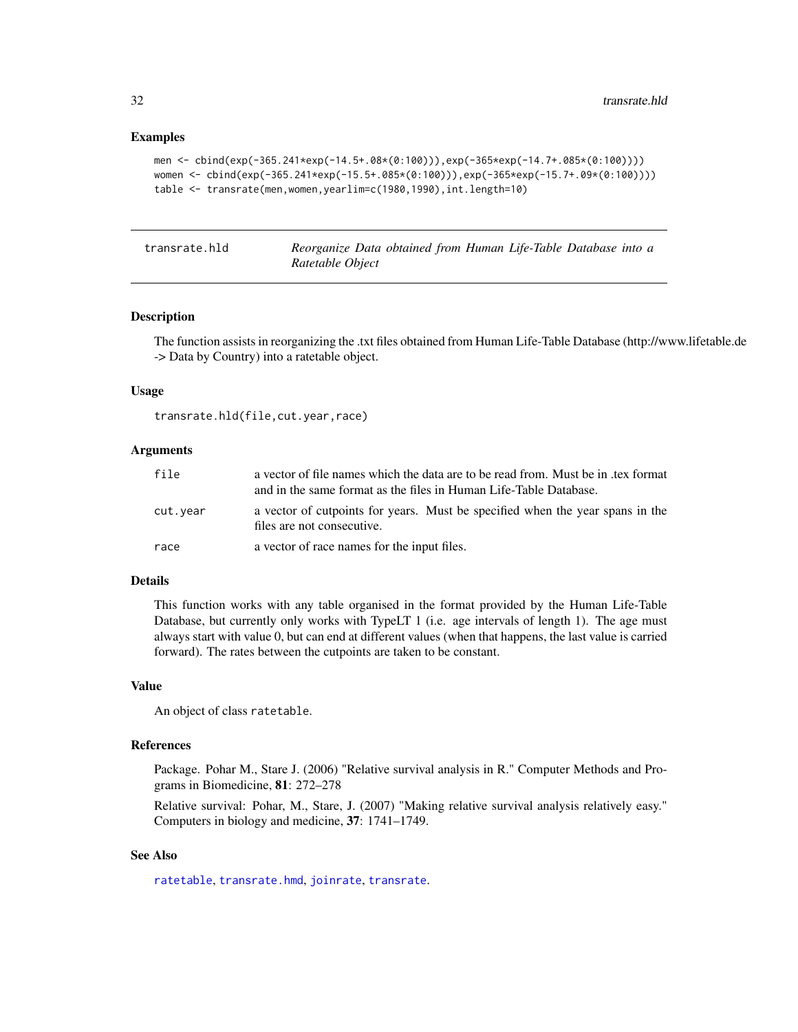### Examples

```
men <- cbind(exp(-365.241*exp(-14.5+.08*(0:100))),exp(-365*exp(-14.7+.085*(0:100))))
women <- cbind(exp(-365.241*exp(-15.5+.085*(0:100))),exp(-365*exp(-15.7+.09*(0:100))))
table <- transrate(men,women,yearlim=c(1980,1990),int.length=10)
```
<span id="page-31-1"></span>transrate.hld *Reorganize Data obtained from Human Life-Table Database into a Ratetable Object*

### Description

The function assists in reorganizing the .txt files obtained from Human Life-Table Database (http://www.lifetable.de -> Data by Country) into a ratetable object.

#### Usage

transrate.hld(file,cut.year,race)

### Arguments

| file     | a vector of file names which the data are to be read from. Must be in tex format<br>and in the same format as the files in Human Life-Table Database. |  |
|----------|-------------------------------------------------------------------------------------------------------------------------------------------------------|--|
| cut.year | a vector of cutpoints for years. Must be specified when the year spans in the<br>files are not consecutive.                                           |  |
| race     | a vector of race names for the input files.                                                                                                           |  |

#### Details

This function works with any table organised in the format provided by the Human Life-Table Database, but currently only works with TypeLT 1 (i.e. age intervals of length 1). The age must always start with value 0, but can end at different values (when that happens, the last value is carried forward). The rates between the cutpoints are taken to be constant.

### Value

An object of class ratetable.

#### References

Package. Pohar M., Stare J. (2006) "Relative survival analysis in R." Computer Methods and Programs in Biomedicine, 81: 272–278

Relative survival: Pohar, M., Stare, J. (2007) "Making relative survival analysis relatively easy." Computers in biology and medicine, 37: 1741–1749.

### See Also

[ratetable](#page-0-0), [transrate.hmd](#page-32-1), [joinrate](#page-6-1), [transrate](#page-30-1).

<span id="page-31-0"></span>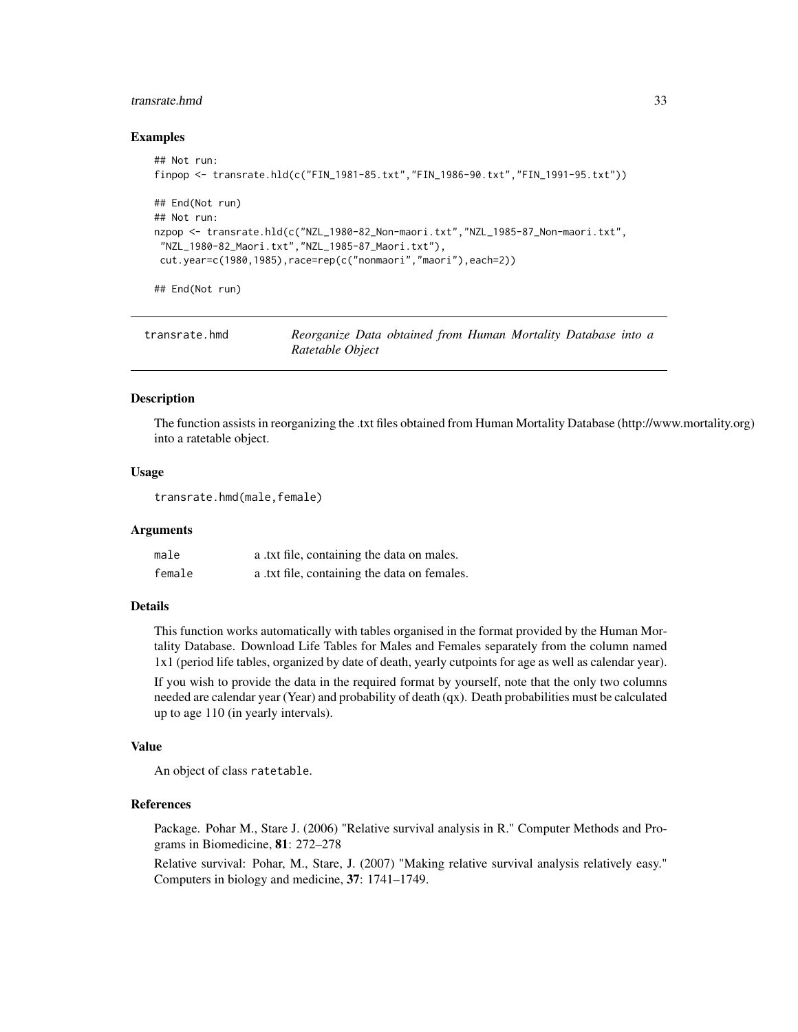### <span id="page-32-0"></span>transrate.hmd 33

#### Examples

```
## Not run:
finpop <- transrate.hld(c("FIN_1981-85.txt","FIN_1986-90.txt","FIN_1991-95.txt"))
## End(Not run)
## Not run:
nzpop <- transrate.hld(c("NZL_1980-82_Non-maori.txt","NZL_1985-87_Non-maori.txt",
"NZL_1980-82_Maori.txt","NZL_1985-87_Maori.txt"),
 cut.year=c(1980,1985),race=rep(c("nonmaori","maori"),each=2))
```
## End(Not run)

<span id="page-32-1"></span>

| transrate.hmd | Reorganize Data obtained from Human Mortality Database into a |  |  |  |
|---------------|---------------------------------------------------------------|--|--|--|
|               | Ratetable Object                                              |  |  |  |

### Description

The function assists in reorganizing the .txt files obtained from Human Mortality Database (http://www.mortality.org) into a ratetable object.

### Usage

transrate.hmd(male,female)

#### Arguments

| male   | a .txt file, containing the data on males.   |
|--------|----------------------------------------------|
| female | a .txt file, containing the data on females. |

#### Details

This function works automatically with tables organised in the format provided by the Human Mortality Database. Download Life Tables for Males and Females separately from the column named 1x1 (period life tables, organized by date of death, yearly cutpoints for age as well as calendar year).

If you wish to provide the data in the required format by yourself, note that the only two columns needed are calendar year (Year) and probability of death (qx). Death probabilities must be calculated up to age 110 (in yearly intervals).

#### Value

An object of class ratetable.

### References

Package. Pohar M., Stare J. (2006) "Relative survival analysis in R." Computer Methods and Programs in Biomedicine, 81: 272–278

Relative survival: Pohar, M., Stare, J. (2007) "Making relative survival analysis relatively easy." Computers in biology and medicine, 37: 1741–1749.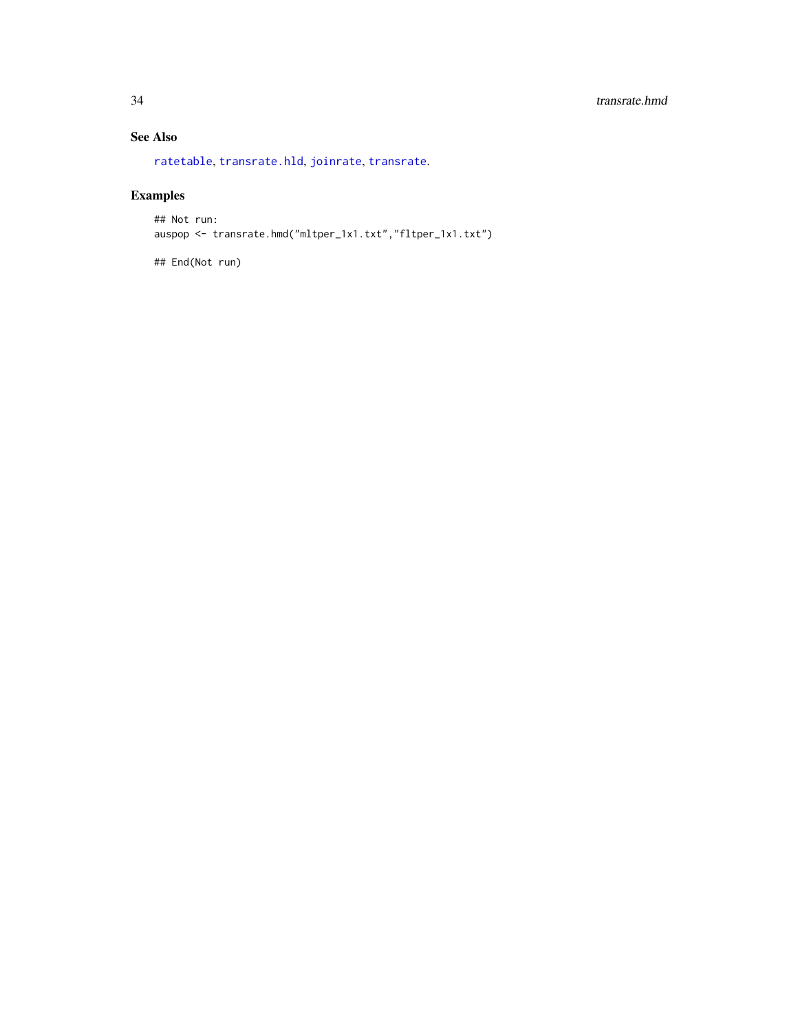### <span id="page-33-0"></span>34 transrate.hmd

### See Also

[ratetable](#page-0-0), [transrate.hld](#page-31-1), [joinrate](#page-6-1), [transrate](#page-30-1).

## Examples

## Not run: auspop <- transrate.hmd("mltper\_1x1.txt","fltper\_1x1.txt")

## End(Not run)